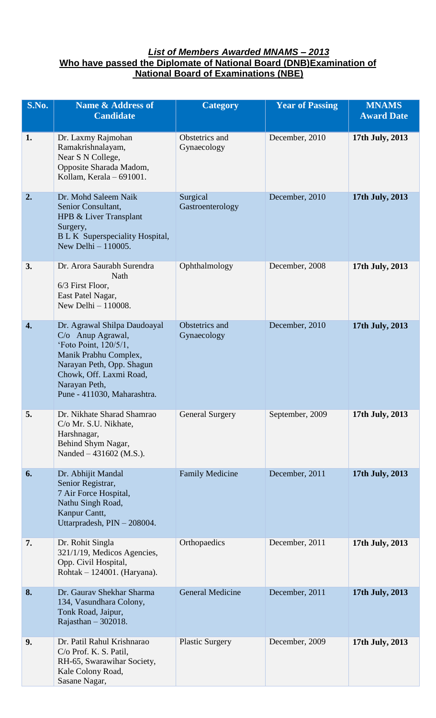## *List of Members Awarded MNAMS – 2013* **Who have passed the Diplomate of National Board (DNB)Examination of National Board of Examinations (NBE)**

| S.No.            | <b>Name &amp; Address of</b><br><b>Candidate</b>                                                                                                                                                              | <b>Category</b>               | <b>Year of Passing</b> | <b>MNAMS</b><br><b>Award Date</b> |
|------------------|---------------------------------------------------------------------------------------------------------------------------------------------------------------------------------------------------------------|-------------------------------|------------------------|-----------------------------------|
| 1.               | Dr. Laxmy Rajmohan<br>Ramakrishnalayam,<br>Near S N College,<br>Opposite Sharada Madom,<br>Kollam, Kerala - 691001.                                                                                           | Obstetrics and<br>Gynaecology | December, 2010         | 17th July, 2013                   |
| 2.               | Dr. Mohd Saleem Naik<br>Senior Consultant,<br>HPB & Liver Transplant<br>Surgery,<br><b>BLK</b> Superspeciality Hospital,<br>New Delhi - 110005.                                                               | Surgical<br>Gastroenterology  | December, 2010         | 17th July, 2013                   |
| 3.               | Dr. Arora Saurabh Surendra<br>Nath<br>6/3 First Floor,<br>East Patel Nagar,<br>New Delhi - 110008.                                                                                                            | Ophthalmology                 | December, 2008         | 17th July, 2013                   |
| $\overline{4}$ . | Dr. Agrawal Shilpa Daudoayal<br>$C/O$ Anup Agrawal,<br>'Foto Point, 120/5/1,<br>Manik Prabhu Complex,<br>Narayan Peth, Opp. Shagun<br>Chowk, Off. Laxmi Road,<br>Narayan Peth,<br>Pune - 411030, Maharashtra. | Obstetrics and<br>Gynaecology | December, 2010         | 17th July, 2013                   |
| 5.               | Dr. Nikhate Sharad Shamrao<br>C/o Mr. S.U. Nikhate,<br>Harshnagar,<br>Behind Shym Nagar,<br>Nanded - 431602 (M.S.).                                                                                           | <b>General Surgery</b>        | September, 2009        | 17th July, 2013                   |
| 6.               | Dr. Abhijit Mandal<br>Senior Registrar,<br>7 Air Force Hospital,<br>Nathu Singh Road,<br>Kanpur Cantt,<br>Uttarpradesh, PIN - 208004.                                                                         | <b>Family Medicine</b>        | December, 2011         | 17th July, 2013                   |
| 7.               | Dr. Rohit Singla<br>321/1/19, Medicos Agencies,<br>Opp. Civil Hospital,<br>Rohtak - 124001. (Haryana).                                                                                                        | Orthopaedics                  | December, 2011         | 17th July, 2013                   |
| 8.               | Dr. Gaurav Shekhar Sharma<br>134, Vasundhara Colony,<br>Tonk Road, Jaipur,<br>Rajasthan $-302018$ .                                                                                                           | <b>General Medicine</b>       | December, 2011         | 17th July, 2013                   |
| 9.               | Dr. Patil Rahul Krishnarao<br>C/o Prof. K. S. Patil,<br>RH-65, Swarawihar Society,<br>Kale Colony Road,<br>Sasane Nagar,                                                                                      | <b>Plastic Surgery</b>        | December, 2009         | 17th July, 2013                   |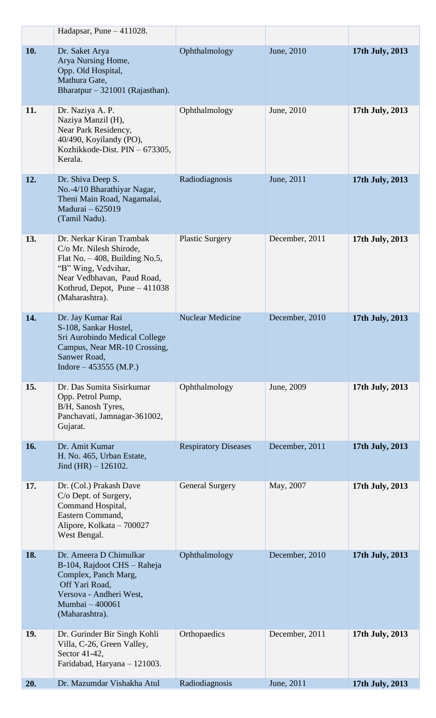|     | Hadapsar, Pune $-411028$ .                                                                                                                                                                      |                             |                |                 |
|-----|-------------------------------------------------------------------------------------------------------------------------------------------------------------------------------------------------|-----------------------------|----------------|-----------------|
| 10. | Dr. Saket Arya<br>Arya Nursing Home,<br>Opp. Old Hospital,<br>Mathura Gate,<br>Bharatpur - 321001 (Rajasthan).                                                                                  | Ophthalmology               | June, 2010     | 17th July, 2013 |
| 11. | Dr. Naziya A. P.<br>Naziya Manzil (H),<br>Near Park Residency,<br>40/490, Koyilandy (PO),<br>Kozhikkode-Dist. PIN - 673305,<br>Kerala.                                                          | Ophthalmology               | June, 2010     | 17th July, 2013 |
| 12. | Dr. Shiva Deep S.<br>No.-4/10 Bharathiyar Nagar,<br>Theni Main Road, Nagamalai,<br>Madurai - 625019<br>(Tamil Nadu).                                                                            | Radiodiagnosis              | June, 2011     | 17th July, 2013 |
| 13. | Dr. Nerkar Kiran Trambak<br>C/o Mr. Nilesh Shirode,<br>Flat No. $-408$ , Building No.5,<br>"B" Wing, Vedvihar,<br>Near Vedbhavan, Paud Road,<br>Kothrud, Depot, Pune - 411038<br>(Maharashtra). | <b>Plastic Surgery</b>      | December, 2011 | 17th July, 2013 |
| 14. | Dr. Jay Kumar Rai<br>S-108, Sankar Hostel,<br>Sri Aurobindo Medical College<br>Campus, Near MR-10 Crossing,<br>Sanwer Road,<br>Indore – 453555 (M.P.)                                           | <b>Nuclear Medicine</b>     | December, 2010 | 17th July, 2013 |
| 15. | Dr. Das Sumita Sisirkumar<br>Opp. Petrol Pump,<br>B/H, Sanosh Tyres,<br>Panchavati, Jamnagar-361002,<br>Gujarat.                                                                                | Ophthalmology               | June, 2009     | 17th July, 2013 |
| 16. | Dr. Amit Kumar<br>H. No. 465, Urban Estate,<br>Jind $(HR) - 126102$ .                                                                                                                           | <b>Respiratory Diseases</b> | December, 2011 | 17th July, 2013 |
| 17. | Dr. (Col.) Prakash Dave<br>C/o Dept. of Surgery,<br>Command Hospital,<br>Eastern Command,<br>Alipore, Kolkata - 700027<br>West Bengal.                                                          | <b>General Surgery</b>      | May, 2007      | 17th July, 2013 |
| 18. | Dr. Ameera D Chimulkar<br>B-104, Rajdoot CHS - Raheja<br>Complex, Panch Marg,<br>Off Yari Road,<br>Versova - Andheri West,<br>Mumbai - 400061<br>(Maharashtra).                                 | Ophthalmology               | December, 2010 | 17th July, 2013 |
| 19. | Dr. Gurinder Bir Singh Kohli<br>Villa, C-26, Green Valley,<br>Sector 41-42,<br>Faridabad, Haryana - 121003.                                                                                     | Orthopaedics                | December, 2011 | 17th July, 2013 |
| 20. | Dr. Mazumdar Vishakha Atul                                                                                                                                                                      | Radiodiagnosis              | June, 2011     | 17th July, 2013 |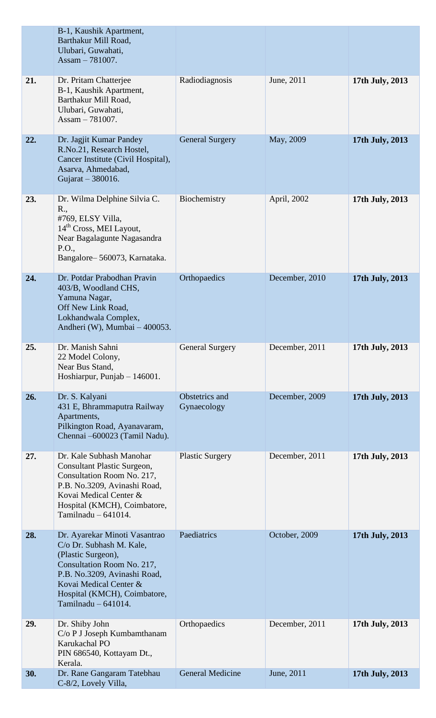|     | B-1, Kaushik Apartment,<br>Barthakur Mill Road,<br>Ulubari, Guwahati,<br>Assam $-781007$ .                                                                                                                                       |                               |                |                 |
|-----|----------------------------------------------------------------------------------------------------------------------------------------------------------------------------------------------------------------------------------|-------------------------------|----------------|-----------------|
| 21. | Dr. Pritam Chatterjee<br>B-1, Kaushik Apartment,<br>Barthakur Mill Road,<br>Ulubari, Guwahati,<br>Assam $-781007$ .                                                                                                              | Radiodiagnosis                | June, 2011     | 17th July, 2013 |
| 22. | Dr. Jagjit Kumar Pandey<br>R.No.21, Research Hostel,<br>Cancer Institute (Civil Hospital),<br>Asarva, Ahmedabad,<br>Gujarat - 380016.                                                                                            | <b>General Surgery</b>        | May, 2009      | 17th July, 2013 |
| 23. | Dr. Wilma Delphine Silvia C.<br>R.,<br>#769, ELSY Villa,<br>14 <sup>th</sup> Cross, MEI Layout,<br>Near Bagalagunte Nagasandra<br>P.O.,<br>Bangalore-560073, Karnataka.                                                          | Biochemistry                  | April, 2002    | 17th July, 2013 |
| 24. | Dr. Potdar Prabodhan Pravin<br>403/B, Woodland CHS,<br>Yamuna Nagar,<br>Off New Link Road,<br>Lokhandwala Complex,<br>Andheri (W), Mumbai - 400053.                                                                              | Orthopaedics                  | December, 2010 | 17th July, 2013 |
| 25. | Dr. Manish Sahni<br>22 Model Colony,<br>Near Bus Stand,<br>Hoshiarpur, Punjab $-146001$ .                                                                                                                                        | <b>General Surgery</b>        | December, 2011 | 17th July, 2013 |
| 26. | Dr. S. Kalyani<br>431 E, Bhrammaputra Railway<br>Apartments,<br>Pilkington Road, Ayanavaram,<br>Chennai -600023 (Tamil Nadu).                                                                                                    | Obstetrics and<br>Gynaecology | December, 2009 | 17th July, 2013 |
| 27. | Dr. Kale Subhash Manohar<br>Consultant Plastic Surgeon,<br>Consultation Room No. 217,<br>P.B. No.3209, Avinashi Road,<br>Kovai Medical Center &<br>Hospital (KMCH), Coimbatore,<br>Tamilnadu $-641014$ .                         | <b>Plastic Surgery</b>        | December, 2011 | 17th July, 2013 |
| 28. | Dr. Ayarekar Minoti Vasantrao<br>C/o Dr. Subhash M. Kale,<br>(Plastic Surgeon),<br>Consultation Room No. 217,<br>P.B. No.3209, Avinashi Road,<br>Kovai Medical Center &<br>Hospital (KMCH), Coimbatore,<br>Tamilnadu $-641014$ . | Paediatrics                   | October, 2009  | 17th July, 2013 |
| 29. | Dr. Shiby John<br>C/o P J Joseph Kumbamthanam<br>Karukachal PO<br>PIN 686540, Kottayam Dt.,<br>Kerala.                                                                                                                           | Orthopaedics                  | December, 2011 | 17th July, 2013 |
| 30. | Dr. Rane Gangaram Tatebhau<br>C-8/2, Lovely Villa,                                                                                                                                                                               | <b>General Medicine</b>       | June, 2011     | 17th July, 2013 |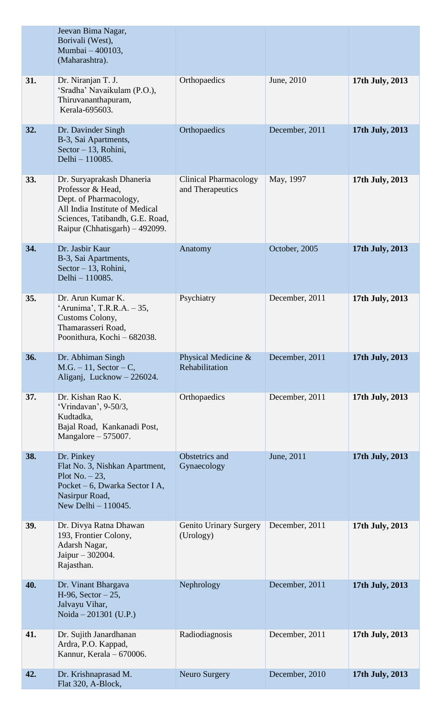|     | Jeevan Bima Nagar,<br>Borivali (West),<br>Mumbai - 400103,<br>(Maharashtra).                                                                                                    |                                                  |                |                 |
|-----|---------------------------------------------------------------------------------------------------------------------------------------------------------------------------------|--------------------------------------------------|----------------|-----------------|
| 31. | Dr. Niranjan T. J.<br>'Sradha' Navaikulam (P.O.),<br>Thiruvananthapuram,<br>Kerala-695603.                                                                                      | Orthopaedics                                     | June, 2010     | 17th July, 2013 |
| 32. | Dr. Davinder Singh<br>B-3, Sai Apartments,<br>Sector $-13$ , Rohini,<br>Delhi - 110085.                                                                                         | Orthopaedics                                     | December, 2011 | 17th July, 2013 |
| 33. | Dr. Suryaprakash Dhaneria<br>Professor & Head,<br>Dept. of Pharmacology,<br>All India Institute of Medical<br>Sciences, Tatibandh, G.E. Road,<br>Raipur (Chhatisgarh) – 492099. | <b>Clinical Pharmacology</b><br>and Therapeutics | May, 1997      | 17th July, 2013 |
| 34. | Dr. Jasbir Kaur<br>B-3, Sai Apartments,<br>Sector $-13$ , Rohini,<br>Delhi - 110085.                                                                                            | Anatomy                                          | October, 2005  | 17th July, 2013 |
| 35. | Dr. Arun Kumar K.<br>'Arunima', T.R.R.A. - 35,<br>Customs Colony,<br>Thamarasseri Road,<br>Poonithura, Kochi - 682038.                                                          | Psychiatry                                       | December, 2011 | 17th July, 2013 |
| 36. | Dr. Abhiman Singh<br>$M.G. - 11$ , Sector – C,<br>Aliganj, Lucknow - 226024.                                                                                                    | Physical Medicine &<br>Rehabilitation            | December, 2011 | 17th July, 2013 |
| 37. | Dr. Kishan Rao K.<br>'Vrindavan', 9-50/3,<br>Kudtadka,<br>Bajal Road, Kankanadi Post,<br>Mangalore $-575007$ .                                                                  | Orthopaedics                                     | December, 2011 | 17th July, 2013 |
| 38. | Dr. Pinkey<br>Flat No. 3, Nishkan Apartment,<br>Plot No. $-23$ ,<br>Pocket – 6, Dwarka Sector I A,<br>Nasirpur Road,<br>New Delhi - 110045.                                     | Obstetrics and<br>Gynaecology                    | June, 2011     | 17th July, 2013 |
| 39. | Dr. Divya Ratna Dhawan<br>193, Frontier Colony,<br>Adarsh Nagar,<br>Jaipur - 302004.<br>Rajasthan.                                                                              | <b>Genito Urinary Surgery</b><br>(Urology)       | December, 2011 | 17th July, 2013 |
| 40. | Dr. Vinant Bhargava<br>$H-96$ , Sector $-25$ ,<br>Jalvayu Vihar,<br>Noida – 201301 (U.P.)                                                                                       | Nephrology                                       | December, 2011 | 17th July, 2013 |
| 41. | Dr. Sujith Janardhanan<br>Ardra, P.O. Kappad,<br>Kannur, Kerala - 670006.                                                                                                       | Radiodiagnosis                                   | December, 2011 | 17th July, 2013 |
| 42. | Dr. Krishnaprasad M.<br>Flat 320, A-Block,                                                                                                                                      | Neuro Surgery                                    | December, 2010 | 17th July, 2013 |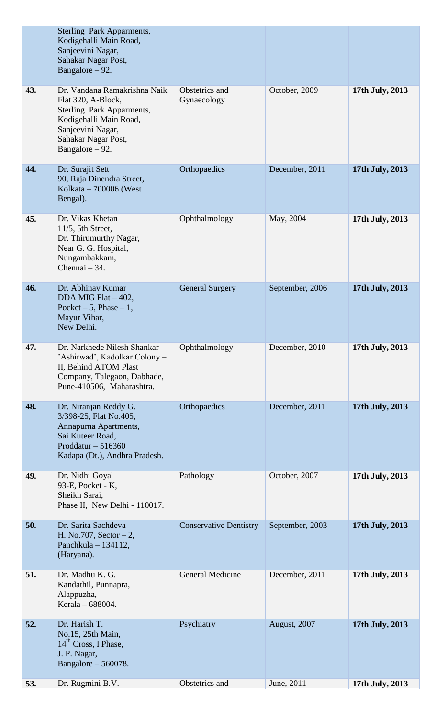|     | Sterling Park Apparments,<br>Kodigehalli Main Road,<br>Sanjeevini Nagar,<br>Sahakar Nagar Post,<br>Bangalore $-92$ .                                                       |                               |                 |                 |
|-----|----------------------------------------------------------------------------------------------------------------------------------------------------------------------------|-------------------------------|-----------------|-----------------|
| 43. | Dr. Vandana Ramakrishna Naik<br>Flat 320, A-Block,<br>Sterling Park Apparments,<br>Kodigehalli Main Road,<br>Sanjeevini Nagar,<br>Sahakar Nagar Post,<br>Bangalore $-92$ . | Obstetrics and<br>Gynaecology | October, 2009   | 17th July, 2013 |
| 44. | Dr. Surajit Sett<br>90, Raja Dinendra Street,<br>Kolkata $-700006$ (West<br>Bengal).                                                                                       | Orthopaedics                  | December, 2011  | 17th July, 2013 |
| 45. | Dr. Vikas Khetan<br>$11/5$ , 5th Street,<br>Dr. Thirumurthy Nagar,<br>Near G. G. Hospital,<br>Nungambakkam,<br>Chennai $-34$ .                                             | Ophthalmology                 | May, 2004       | 17th July, 2013 |
| 46. | Dr. Abhinav Kumar<br>DDA MIG Flat - 402,<br>Pocket $-5$ , Phase $-1$ ,<br>Mayur Vihar,<br>New Delhi.                                                                       | <b>General Surgery</b>        | September, 2006 | 17th July, 2013 |
| 47. | Dr. Narkhede Nilesh Shankar<br>'Ashirwad', Kadolkar Colony –<br>II, Behind ATOM Plast<br>Company, Talegaon, Dabhade,<br>Pune-410506, Maharashtra.                          | Ophthalmology                 | December, 2010  | 17th July, 2013 |
| 48. | Dr. Niranjan Reddy G.<br>3/398-25, Flat No.405,<br>Annapurna Apartments,<br>Sai Kuteer Road,<br>Proddatur $-516360$<br>Kadapa (Dt.), Andhra Pradesh.                       | Orthopaedics                  | December, 2011  | 17th July, 2013 |
| 49. | Dr. Nidhi Goyal<br>93-E, Pocket - K,<br>Sheikh Sarai,<br>Phase II, New Delhi - 110017.                                                                                     | Pathology                     | October, 2007   | 17th July, 2013 |
| 50. | Dr. Sarita Sachdeva<br>H. No.707, Sector $-2$ ,<br>Panchkula $-134112$ ,<br>(Haryana).                                                                                     | <b>Conservative Dentistry</b> | September, 2003 | 17th July, 2013 |
| 51. | Dr. Madhu K. G.<br>Kandathil, Punnapra,<br>Alappuzha,<br>Kerala – 688004.                                                                                                  | <b>General Medicine</b>       | December, 2011  | 17th July, 2013 |
| 52. | Dr. Harish T.<br>No.15, 25th Main,<br>14 <sup>th</sup> Cross, I Phase,<br>J. P. Nagar,<br>Bangalore $-560078$ .                                                            | Psychiatry                    | August, 2007    | 17th July, 2013 |
| 53. | Dr. Rugmini B.V.                                                                                                                                                           | Obstetrics and                | June, 2011      | 17th July, 2013 |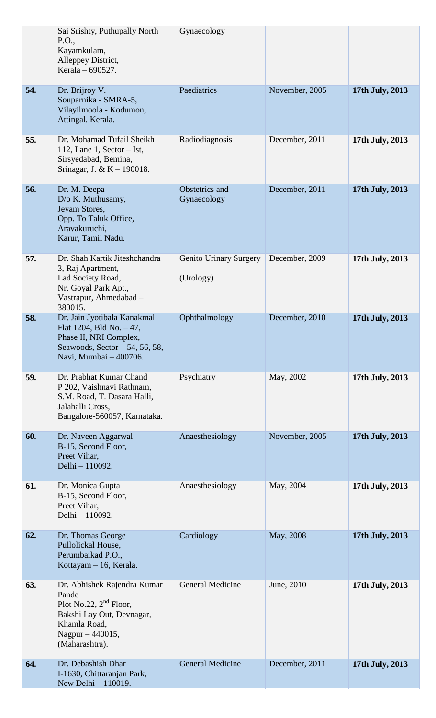|     | Sai Srishty, Puthupally North<br>P.O.,<br>Kayamkulam,<br>Alleppey District,<br>Kerala – 690527.                                                     | Gynaecology                         |                |                 |
|-----|-----------------------------------------------------------------------------------------------------------------------------------------------------|-------------------------------------|----------------|-----------------|
| 54. | Dr. Brijroy V.<br>Souparnika - SMRA-5,<br>Vilayilmoola - Kodumon,<br>Attingal, Kerala.                                                              | Paediatrics                         | November, 2005 | 17th July, 2013 |
| 55. | Dr. Mohamad Tufail Sheikh<br>112, Lane 1, Sector $-$ Ist,<br>Sirsyedabad, Bemina,<br>Srinagar, J. & K - 190018.                                     | Radiodiagnosis                      | December, 2011 | 17th July, 2013 |
| 56. | Dr. M. Deepa<br>D/o K. Muthusamy,<br>Jeyam Stores,<br>Opp. To Taluk Office,<br>Aravakuruchi,<br>Karur, Tamil Nadu.                                  | Obstetrics and<br>Gynaecology       | December, 2011 | 17th July, 2013 |
| 57. | Dr. Shah Kartik Jiteshchandra<br>3, Raj Apartment,<br>Lad Society Road,<br>Nr. Goyal Park Apt.,<br>Vastrapur, Ahmedabad -<br>380015.                | Genito Urinary Surgery<br>(Urology) | December, 2009 | 17th July, 2013 |
| 58. | Dr. Jain Jyotibala Kanakmal<br>Flat 1204, Bld No. - 47,<br>Phase II, NRI Complex,<br>Seawoods, Sector $-54$ , 56, 58,<br>Navi, Mumbai - 400706.     | Ophthalmology                       | December, 2010 | 17th July, 2013 |
| 59. | Dr. Prabhat Kumar Chand<br>P 202, Vaishnavi Rathnam,<br>S.M. Road, T. Dasara Halli,<br>Jalahalli Cross.<br>Bangalore-560057, Karnataka.             | Psychiatry                          | May, 2002      | 17th July, 2013 |
| 60. | Dr. Naveen Aggarwal<br>B-15, Second Floor,<br>Preet Vihar,<br>Delhi - 110092.                                                                       | Anaesthesiology                     | November, 2005 | 17th July, 2013 |
| 61. | Dr. Monica Gupta<br>B-15, Second Floor,<br>Preet Vihar,<br>Delhi - 110092.                                                                          | Anaesthesiology                     | May, 2004      | 17th July, 2013 |
| 62. | Dr. Thomas George<br>Pullolickal House,<br>Perumbaikad P.O.,<br>Kottayam - 16, Kerala.                                                              | Cardiology                          | May, 2008      | 17th July, 2013 |
| 63. | Dr. Abhishek Rajendra Kumar<br>Pande<br>Plot No.22, $2nd$ Floor,<br>Bakshi Lay Out, Devnagar,<br>Khamla Road,<br>Nagpur - 440015,<br>(Maharashtra). | <b>General Medicine</b>             | June, 2010     | 17th July, 2013 |
| 64. | Dr. Debashish Dhar<br>I-1630, Chittaranjan Park,<br>New Delhi - 110019.                                                                             | General Medicine                    | December, 2011 | 17th July, 2013 |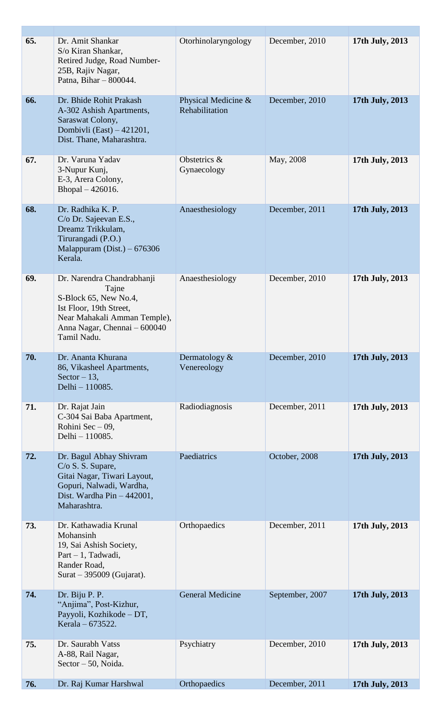| 65. | Dr. Amit Shankar<br>S/o Kiran Shankar,<br>Retired Judge, Road Number-<br>25B, Rajiv Nagar,<br>Patna, Bihar - 800044.                                                   | Otorhinolaryngology                   | December, 2010  | 17th July, 2013 |
|-----|------------------------------------------------------------------------------------------------------------------------------------------------------------------------|---------------------------------------|-----------------|-----------------|
| 66. | Dr. Bhide Rohit Prakash<br>A-302 Ashish Apartments,<br>Saraswat Colony,<br>Dombivli (East) - 421201,<br>Dist. Thane, Maharashtra.                                      | Physical Medicine &<br>Rehabilitation | December, 2010  | 17th July, 2013 |
| 67. | Dr. Varuna Yadav<br>3-Nupur Kunj,<br>E-3, Arera Colony,<br>Bhopal $-426016$ .                                                                                          | Obstetrics &<br>Gynaecology           | May, 2008       | 17th July, 2013 |
| 68. | Dr. Radhika K. P.<br>C/o Dr. Sajeevan E.S.,<br>Dreamz Trikkulam,<br>Tirurangadi (P.O.)<br>Malappuram $(Dist.) - 676306$<br>Kerala.                                     | Anaesthesiology                       | December, 2011  | 17th July, 2013 |
| 69. | Dr. Narendra Chandrabhanji<br>Tajne<br>S-Block 65, New No.4,<br>Ist Floor, 19th Street,<br>Near Mahakali Amman Temple),<br>Anna Nagar, Chennai - 600040<br>Tamil Nadu. | Anaesthesiology                       | December, 2010  | 17th July, 2013 |
| 70. | Dr. Ananta Khurana<br>86, Vikasheel Apartments,<br>Sector $-13$ ,<br>Delhi - 110085.                                                                                   | Dermatology $&$<br>Venereology        | December, 2010  | 17th July, 2013 |
| 71. | Dr. Rajat Jain<br>C-304 Sai Baba Apartment,<br>Rohini Sec $-09$ ,<br>Delhi - 110085.                                                                                   | Radiodiagnosis                        | December, 2011  | 17th July, 2013 |
| 72. | Dr. Bagul Abhay Shivram<br>C/O S. S. Supare,<br>Gitai Nagar, Tiwari Layout,<br>Gopuri, Nalwadi, Wardha,<br>Dist. Wardha Pin - 442001,<br>Maharashtra.                  | Paediatrics                           | October, 2008   | 17th July, 2013 |
| 73. | Dr. Kathawadia Krunal<br>Mohansinh<br>19, Sai Ashish Society,<br>Part - 1, Tadwadi,<br>Rander Road,<br>Surat $-$ 395009 (Gujarat).                                     | Orthopaedics                          | December, 2011  | 17th July, 2013 |
| 74. | Dr. Biju P. P.<br>"Anjima", Post-Kizhur,<br>Payyoli, Kozhikode - DT,<br>Kerala – 673522.                                                                               | <b>General Medicine</b>               | September, 2007 | 17th July, 2013 |
| 75. | Dr. Saurabh Vatss<br>A-88, Rail Nagar,<br>Sector - 50, Noida.                                                                                                          | Psychiatry                            | December, 2010  | 17th July, 2013 |
| 76. | Dr. Raj Kumar Harshwal                                                                                                                                                 | Orthopaedics                          | December, 2011  | 17th July, 2013 |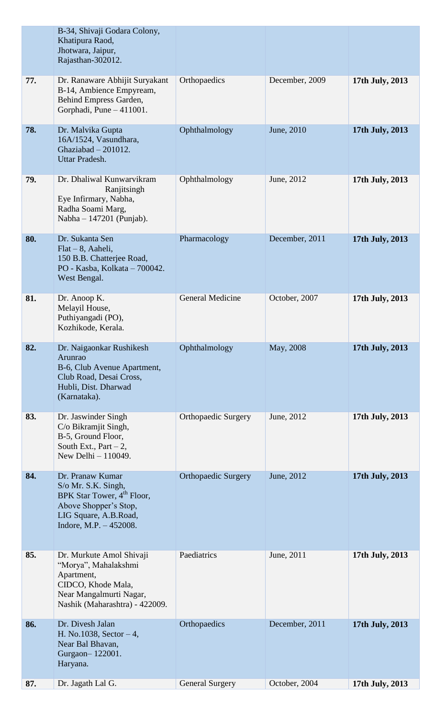|     | B-34, Shivaji Godara Colony,<br>Khatipura Raod,<br>Jhotwara, Jaipur,<br>Rajasthan-302012.                                                                     |                            |                |                 |
|-----|---------------------------------------------------------------------------------------------------------------------------------------------------------------|----------------------------|----------------|-----------------|
| 77. | Dr. Ranaware Abhijit Suryakant<br>B-14, Ambience Empyream,<br>Behind Empress Garden,<br>Gorphadi, Pune - 411001.                                              | Orthopaedics               | December, 2009 | 17th July, 2013 |
| 78. | Dr. Malvika Gupta<br>16A/1524, Vasundhara,<br>Ghaziabad - 201012.<br>Uttar Pradesh.                                                                           | Ophthalmology              | June, 2010     | 17th July, 2013 |
| 79. | Dr. Dhaliwal Kunwarvikram<br>Ranjitsingh<br>Eye Infirmary, Nabha,<br>Radha Soami Marg,<br>Nabha $-147201$ (Punjab).                                           | Ophthalmology              | June, 2012     | 17th July, 2013 |
| 80. | Dr. Sukanta Sen<br>$Flat - 8$ , Aaheli,<br>150 B.B. Chatterjee Road,<br>PO - Kasba, Kolkata - 700042.<br>West Bengal.                                         | Pharmacology               | December, 2011 | 17th July, 2013 |
| 81. | Dr. Anoop K.<br>Melayil House,<br>Puthiyangadi (PO),<br>Kozhikode, Kerala.                                                                                    | <b>General Medicine</b>    | October, 2007  | 17th July, 2013 |
| 82. | Dr. Naigaonkar Rushikesh<br>Arunrao<br>B-6, Club Avenue Apartment,<br>Club Road, Desai Cross,<br>Hubli, Dist. Dharwad<br>(Karnataka).                         | Ophthalmology              | May, 2008      | 17th July, 2013 |
| 83. | Dr. Jaswinder Singh<br>C/o Bikramjit Singh,<br>B-5, Ground Floor,<br>South Ext., Part $-2$ ,<br>New Delhi $-110049$ .                                         | <b>Orthopaedic Surgery</b> | June, 2012     | 17th July, 2013 |
| 84. | Dr. Pranaw Kumar<br>S/o Mr. S.K. Singh,<br>BPK Star Tower, 4 <sup>th</sup> Floor,<br>Above Shopper's Stop,<br>LIG Square, A.B.Road,<br>Indore, M.P. - 452008. | <b>Orthopaedic Surgery</b> | June, 2012     | 17th July, 2013 |
| 85. | Dr. Murkute Amol Shivaji<br>"Morya", Mahalakshmi<br>Apartment,<br>CIDCO, Khode Mala,<br>Near Mangalmurti Nagar,<br>Nashik (Maharashtra) - 422009.             | Paediatrics                | June, 2011     | 17th July, 2013 |
| 86. | Dr. Divesh Jalan<br>H. No.1038, Sector $-4$ ,<br>Near Bal Bhavan,<br>Gurgaon-122001.<br>Haryana.                                                              | Orthopaedics               | December, 2011 | 17th July, 2013 |
| 87. | Dr. Jagath Lal G.                                                                                                                                             | <b>General Surgery</b>     | October, 2004  | 17th July, 2013 |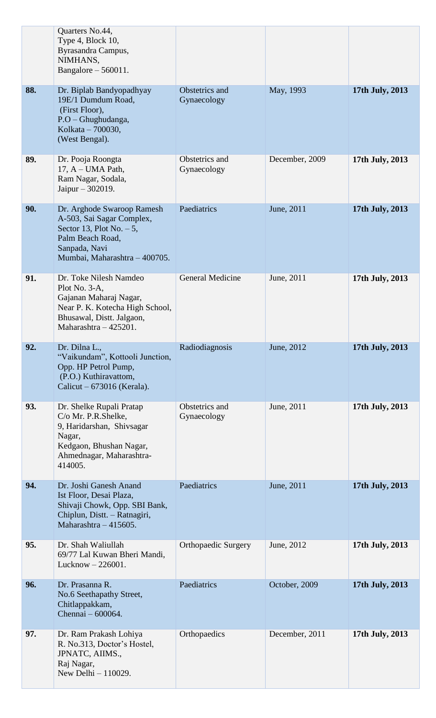|     | Quarters No.44,<br>Type 4, Block 10,<br>Byrasandra Campus,<br>NIMHANS,<br>Bangalore $-560011$ .                                                             |                               |                |                 |
|-----|-------------------------------------------------------------------------------------------------------------------------------------------------------------|-------------------------------|----------------|-----------------|
| 88. | Dr. Biplab Bandyopadhyay<br>19E/1 Dumdum Road,<br>(First Floor),<br>P.O - Ghughudanga,<br>Kolkata - 700030,<br>(West Bengal).                               | Obstetrics and<br>Gynaecology | May, 1993      | 17th July, 2013 |
| 89. | Dr. Pooja Roongta<br>17, A - UMA Path,<br>Ram Nagar, Sodala,<br>Jaipur $-302019$ .                                                                          | Obstetrics and<br>Gynaecology | December, 2009 | 17th July, 2013 |
| 90. | Dr. Arghode Swaroop Ramesh<br>A-503, Sai Sagar Complex,<br>Sector 13, Plot No. $-5$ ,<br>Palm Beach Road,<br>Sanpada, Navi<br>Mumbai, Maharashtra - 400705. | Paediatrics                   | June, 2011     | 17th July, 2013 |
| 91. | Dr. Toke Nilesh Namdeo<br>Plot No. 3-A,<br>Gajanan Maharaj Nagar,<br>Near P. K. Kotecha High School,<br>Bhusawal, Distt. Jalgaon,<br>Maharashtra - 425201.  | <b>General Medicine</b>       | June, 2011     | 17th July, 2013 |
| 92. | Dr. Dilna L.,<br>"Vaikundam", Kottooli Junction,<br>Opp. HP Petrol Pump,<br>(P.O.) Kuthiravattom,<br>Calicut $-673016$ (Kerala).                            | Radiodiagnosis                | June, 2012     | 17th July, 2013 |
| 93. | Dr. Shelke Rupali Pratap<br>C/o Mr. P.R.Shelke,<br>9, Haridarshan, Shivsagar<br>Nagar,<br>Kedgaon, Bhushan Nagar,<br>Ahmednagar, Maharashtra-<br>414005.    | Obstetrics and<br>Gynaecology | June, 2011     | 17th July, 2013 |
| 94. | Dr. Joshi Ganesh Anand<br>Ist Floor, Desai Plaza,<br>Shivaji Chowk, Opp. SBI Bank,<br>Chiplun, Distt. - Ratnagiri,<br>Maharashtra $-415605$ .               | Paediatrics                   | June, 2011     | 17th July, 2013 |
| 95. | Dr. Shah Waliullah<br>69/77 Lal Kuwan Bheri Mandi,<br>Lucknow $-226001$ .                                                                                   | <b>Orthopaedic Surgery</b>    | June, 2012     | 17th July, 2013 |
| 96. | Dr. Prasanna R.<br>No.6 Seethapathy Street,<br>Chitlappakkam,<br>Chennai - 600064.                                                                          | Paediatrics                   | October, 2009  | 17th July, 2013 |
| 97. | Dr. Ram Prakash Lohiya<br>R. No.313, Doctor's Hostel,<br>JPNATC, AIIMS.,<br>Raj Nagar,<br>New Delhi $-110029$ .                                             | Orthopaedics                  | December, 2011 | 17th July, 2013 |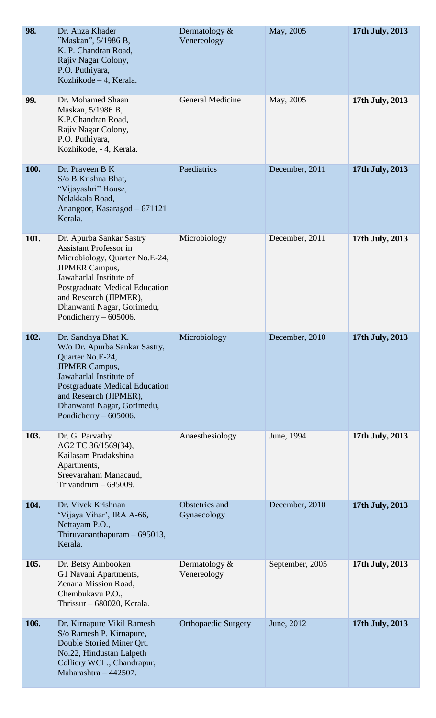| 98.  | Dr. Anza Khader<br>"Maskan", 5/1986 B,<br>K. P. Chandran Road,<br>Rajiv Nagar Colony,<br>P.O. Puthiyara,<br>Kozhikode - 4, Kerala.                                                                                                                                   | Dermatology $&$<br>Venereology  | May, 2005       | 17th July, 2013 |
|------|----------------------------------------------------------------------------------------------------------------------------------------------------------------------------------------------------------------------------------------------------------------------|---------------------------------|-----------------|-----------------|
| 99.  | Dr. Mohamed Shaan<br>Maskan, 5/1986 B,<br>K.P.Chandran Road,<br>Rajiv Nagar Colony,<br>P.O. Puthiyara,<br>Kozhikode, - 4, Kerala.                                                                                                                                    | General Medicine                | May, 2005       | 17th July, 2013 |
| 100. | Dr. Praveen B K<br>S/o B.Krishna Bhat,<br>"Vijayashri" House,<br>Nelakkala Road,<br>Anangoor, Kasaragod - 671121<br>Kerala.                                                                                                                                          | Paediatrics                     | December, 2011  | 17th July, 2013 |
| 101. | Dr. Apurba Sankar Sastry<br><b>Assistant Professor in</b><br>Microbiology, Quarter No.E-24,<br><b>JIPMER Campus,</b><br>Jawaharlal Institute of<br>Postgraduate Medical Education<br>and Research (JIPMER),<br>Dhanwanti Nagar, Gorimedu,<br>Pondicherry $-605006$ . | Microbiology                    | December, 2011  | 17th July, 2013 |
| 102. | Dr. Sandhya Bhat K.<br>W/o Dr. Apurba Sankar Sastry,<br>Quarter No.E-24,<br><b>JIPMER Campus,</b><br>Jawaharlal Institute of<br><b>Postgraduate Medical Education</b><br>and Research (JIPMER),<br>Dhanwanti Nagar, Gorimedu,<br>Pondicherry $-605006$ .             | Microbiology                    | December, 2010  | 17th July, 2013 |
| 103. | Dr. G. Parvathy<br>AG2 TC 36/1569(34),<br>Kailasam Pradakshina<br>Apartments,<br>Sreevaraham Manacaud,<br>Trivandrum $-695009$ .                                                                                                                                     | Anaesthesiology                 | June, 1994      | 17th July, 2013 |
| 104. | Dr. Vivek Krishnan<br>'Vijaya Vihar', IRA A-66,<br>Nettayam P.O.,<br>Thiruvananthapuram $-695013$ ,<br>Kerala.                                                                                                                                                       | Obstetrics and<br>Gynaecology   | December, 2010  | 17th July, 2013 |
| 105. | Dr. Betsy Ambooken<br>G1 Navani Apartments,<br>Zenana Mission Road,<br>Chembukavu P.O.,<br>Thrissur - 680020, Kerala.                                                                                                                                                | Dermatology $\&$<br>Venereology | September, 2005 | 17th July, 2013 |
| 106. | Dr. Kirnapure Vikil Ramesh<br>S/o Ramesh P. Kirnapure,<br>Double Storied Miner Qrt.<br>No.22, Hindustan Lalpeth<br>Colliery WCL., Chandrapur,<br>Maharashtra - 442507.                                                                                               | <b>Orthopaedic Surgery</b>      | June, 2012      | 17th July, 2013 |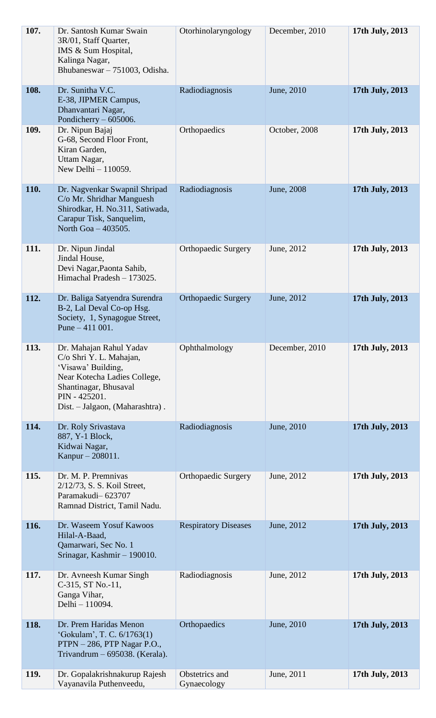| 107. | Dr. Santosh Kumar Swain<br>3R/01, Staff Quarter,<br>IMS & Sum Hospital,<br>Kalinga Nagar,<br>Bhubaneswar - 751003, Odisha.                                                            | Otorhinolaryngology           | December, 2010 | 17th July, 2013 |
|------|---------------------------------------------------------------------------------------------------------------------------------------------------------------------------------------|-------------------------------|----------------|-----------------|
| 108. | Dr. Sunitha V.C.<br>E-38, JIPMER Campus,<br>Dhanvantari Nagar,<br>Pondicherry $-605006$ .                                                                                             | Radiodiagnosis                | June, 2010     | 17th July, 2013 |
| 109. | Dr. Nipun Bajaj<br>G-68, Second Floor Front,<br>Kiran Garden,<br>Uttam Nagar,<br>New Delhi - 110059.                                                                                  | Orthopaedics                  | October, 2008  | 17th July, 2013 |
| 110. | Dr. Nagvenkar Swapnil Shripad<br>C/o Mr. Shridhar Manguesh<br>Shirodkar, H. No.311, Satiwada,<br>Carapur Tisk, Sanquelim,<br>North Goa - 403505.                                      | Radiodiagnosis                | June, 2008     | 17th July, 2013 |
| 111. | Dr. Nipun Jindal<br>Jindal House,<br>Devi Nagar, Paonta Sahib,<br>Himachal Pradesh - 173025.                                                                                          | <b>Orthopaedic Surgery</b>    | June, 2012     | 17th July, 2013 |
| 112. | Dr. Baliga Satyendra Surendra<br>B-2, Lal Deval Co-op Hsg.<br>Society, 1, Synagogue Street,<br>Pune $-411001$ .                                                                       | <b>Orthopaedic Surgery</b>    | June, 2012     | 17th July, 2013 |
| 113. | Dr. Mahajan Rahul Yadav<br>C/o Shri Y. L. Mahajan,<br>'Visawa' Building,<br>Near Kotecha Ladies College,<br>Shantinagar, Bhusaval<br>PIN - 425201.<br>Dist. - Jalgaon, (Maharashtra). | Ophthalmology                 | December, 2010 | 17th July, 2013 |
| 114. | Dr. Roly Srivastava<br>887, Y-1 Block,<br>Kidwai Nagar,<br>Kanpur – 208011.                                                                                                           | Radiodiagnosis                | June, 2010     | 17th July, 2013 |
| 115. | Dr. M. P. Premnivas<br>2/12/73, S. S. Koil Street,<br>Paramakudi-623707<br>Ramnad District, Tamil Nadu.                                                                               | <b>Orthopaedic Surgery</b>    | June, 2012     | 17th July, 2013 |
| 116. | Dr. Waseem Yosuf Kawoos<br>Hilal-A-Baad,<br>Qamarwari, Sec No. 1<br>Srinagar, Kashmir - 190010.                                                                                       | <b>Respiratory Diseases</b>   | June, 2012     | 17th July, 2013 |
| 117. | Dr. Avneesh Kumar Singh<br>C-315, ST No.-11,<br>Ganga Vihar,<br>Delhi - 110094.                                                                                                       | Radiodiagnosis                | June, 2012     | 17th July, 2013 |
| 118. | Dr. Prem Haridas Menon<br>'Gokulam', T. C. 6/1763(1)<br>PTPN - 286, PTP Nagar P.O.,<br>Trivandrum - 695038. (Kerala).                                                                 | Orthopaedics                  | June, 2010     | 17th July, 2013 |
| 119. | Dr. Gopalakrishnakurup Rajesh<br>Vayanavila Puthenveedu,                                                                                                                              | Obstetrics and<br>Gynaecology | June, 2011     | 17th July, 2013 |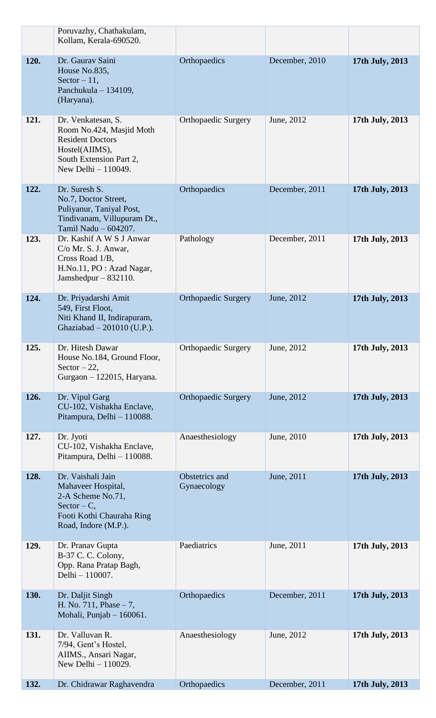|      | Poruvazhy, Chathakulam,<br>Kollam, Kerala-690520.                                                                                             |                               |                |                 |
|------|-----------------------------------------------------------------------------------------------------------------------------------------------|-------------------------------|----------------|-----------------|
| 120. | Dr. Gaurav Saini<br>House No.835,<br>Sector $-11$ ,<br>Panchukula – 134109,<br>(Haryana).                                                     | Orthopaedics                  | December, 2010 | 17th July, 2013 |
| 121. | Dr. Venkatesan, S.<br>Room No.424, Masjid Moth<br><b>Resident Doctors</b><br>Hostel(AIIMS),<br>South Extension Part 2,<br>New Delhi - 110049. | <b>Orthopaedic Surgery</b>    | June, 2012     | 17th July, 2013 |
| 122. | Dr. Suresh S.<br>No.7, Doctor Street,<br>Puliyanur, Taniyal Post,<br>Tindivanam, Villupuram Dt.,<br>Tamil Nadu - 604207.                      | Orthopaedics                  | December, 2011 | 17th July, 2013 |
| 123. | Dr. Kashif A W S J Anwar<br>$C/O$ Mr. S. J. Anwar,<br>Cross Road 1/B,<br>H.No.11, PO : Azad Nagar,<br>Jamshedpur $-832110$ .                  | Pathology                     | December, 2011 | 17th July, 2013 |
| 124. | Dr. Priyadarshi Amit<br>549, First Floot,<br>Niti Khand II, Indirapuram,<br>Ghaziabad - 201010 (U.P.).                                        | <b>Orthopaedic Surgery</b>    | June, 2012     | 17th July, 2013 |
| 125. | Dr. Hitesh Dawar<br>House No.184, Ground Floor,<br>Sector $-22$ ,<br>Gurgaon - 122015, Haryana.                                               | <b>Orthopaedic Surgery</b>    | June, 2012     | 17th July, 2013 |
| 126. | Dr. Vipul Garg<br>CU-102, Vishakha Enclave,<br>Pitampura, Delhi - 110088.                                                                     | <b>Orthopaedic Surgery</b>    | June, 2012     | 17th July, 2013 |
| 127. | Dr. Jyoti<br>CU-102, Vishakha Enclave,<br>Pitampura, Delhi - 110088.                                                                          | Anaesthesiology               | June, 2010     | 17th July, 2013 |
| 128. | Dr. Vaishali Jain<br>Mahaveer Hospital,<br>2-A Scheme No.71,<br>$Sector - C$ ,<br>Footi Kothi Chauraha Ring<br>Road, Indore (M.P.).           | Obstetrics and<br>Gynaecology | June, 2011     | 17th July, 2013 |
| 129. | Dr. Pranav Gupta<br>B-37 C. C. Colony,<br>Opp. Rana Pratap Bagh,<br>Delhi - 110007.                                                           | Paediatrics                   | June, 2011     | 17th July, 2013 |
| 130. | Dr. Daljit Singh<br>H. No. $711$ , Phase $-7$ ,<br>Mohali, Punjab - 160061.                                                                   | Orthopaedics                  | December, 2011 | 17th July, 2013 |
| 131. | Dr. Valluvan R.<br>7/94, Gent's Hostel,<br>AIIMS., Ansari Nagar,<br>New Delhi - 110029.                                                       | Anaesthesiology               | June, 2012     | 17th July, 2013 |
| 132. | Dr. Chidrawar Raghavendra                                                                                                                     | Orthopaedics                  | December, 2011 | 17th July, 2013 |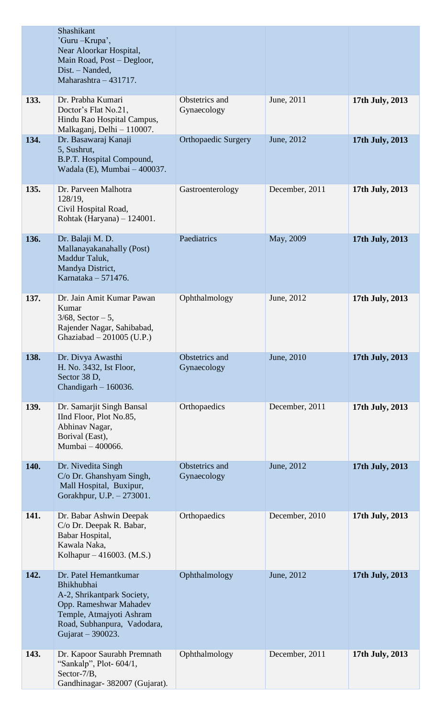|      | Shashikant<br>'Guru – Krupa',<br>Near Aloorkar Hospital,<br>Main Road, Post – Degloor,<br>Dist. - Nanded,<br>Maharashtra - 431717.                                          |                               |                |                 |
|------|-----------------------------------------------------------------------------------------------------------------------------------------------------------------------------|-------------------------------|----------------|-----------------|
| 133. | Dr. Prabha Kumari<br>Doctor's Flat No.21,<br>Hindu Rao Hospital Campus,<br>Malkaganj, Delhi - 110007.                                                                       | Obstetrics and<br>Gynaecology | June, 2011     | 17th July, 2013 |
| 134. | Dr. Basawaraj Kanaji<br>5, Sushrut,<br>B.P.T. Hospital Compound,<br>Wadala (E), Mumbai - 400037.                                                                            | <b>Orthopaedic Surgery</b>    | June, 2012     | 17th July, 2013 |
| 135. | Dr. Parveen Malhotra<br>128/19,<br>Civil Hospital Road,<br>Rohtak (Haryana) - 124001.                                                                                       | Gastroenterology              | December, 2011 | 17th July, 2013 |
| 136. | Dr. Balaji M. D.<br>Mallanayakanahally (Post)<br>Maddur Taluk,<br>Mandya District,<br>Karnataka - 571476.                                                                   | Paediatrics                   | May, 2009      | 17th July, 2013 |
| 137. | Dr. Jain Amit Kumar Pawan<br>Kumar<br>$3/68$ , Sector $-5$ ,<br>Rajender Nagar, Sahibabad,<br>Ghaziabad $-201005$ (U.P.)                                                    | Ophthalmology                 | June, 2012     | 17th July, 2013 |
| 138. | Dr. Divya Awasthi<br>H. No. 3432, Ist Floor,<br>Sector 38 D,<br>Chandigarh $-160036$ .                                                                                      | Obstetrics and<br>Gynaecology | June, 2010     | 17th July, 2013 |
| 139. | Dr. Samarjit Singh Bansal<br>IInd Floor, Plot No.85,<br>Abhinav Nagar,<br>Borival (East),<br>Mumbai - 400066.                                                               | Orthopaedics                  | December, 2011 | 17th July, 2013 |
| 140. | Dr. Nivedita Singh<br>C/o Dr. Ghanshyam Singh,<br>Mall Hospital, Buxipur,<br>Gorakhpur, U.P. - 273001.                                                                      | Obstetrics and<br>Gynaecology | June, 2012     | 17th July, 2013 |
| 141. | Dr. Babar Ashwin Deepak<br>C/o Dr. Deepak R. Babar,<br>Babar Hospital,<br>Kawala Naka,<br>Kolhapur – 416003. (M.S.)                                                         | Orthopaedics                  | December, 2010 | 17th July, 2013 |
| 142. | Dr. Patel Hemantkumar<br>Bhikhubhai<br>A-2, Shrikantpark Society,<br>Opp. Rameshwar Mahadev<br>Temple, Atmajyoti Ashram<br>Road, Subhanpura, Vadodara,<br>Gujarat - 390023. | Ophthalmology                 | June, 2012     | 17th July, 2013 |
| 143. | Dr. Kapoor Saurabh Premnath<br>"Sankalp", Plot-604/1,<br>Sector-7/B,<br>Gandhinagar- 382007 (Gujarat).                                                                      | Ophthalmology                 | December, 2011 | 17th July, 2013 |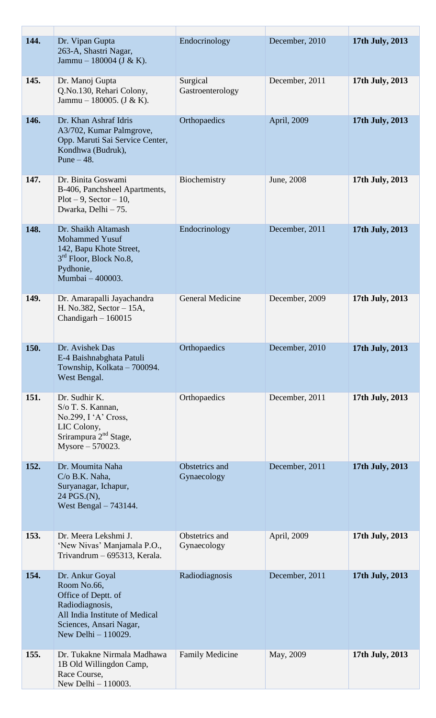| 144. | Dr. Vipan Gupta<br>263-A, Shastri Nagar,<br>Jammu – 180004 (J & K).                                                                                          | Endocrinology                 | December, 2010 | 17th July, 2013 |
|------|--------------------------------------------------------------------------------------------------------------------------------------------------------------|-------------------------------|----------------|-----------------|
| 145. | Dr. Manoj Gupta<br>Q.No.130, Rehari Colony,<br>Jammu – 180005. $(J & K)$ .                                                                                   | Surgical<br>Gastroenterology  | December, 2011 | 17th July, 2013 |
| 146. | Dr. Khan Ashraf Idris<br>A3/702, Kumar Palmgrove,<br>Opp. Maruti Sai Service Center,<br>Kondhwa (Budruk),<br>Pune $-48$ .                                    | Orthopaedics                  | April, 2009    | 17th July, 2013 |
| 147. | Dr. Binita Goswami<br>B-406, Panchsheel Apartments,<br>$Plot - 9$ , $Section - 10$ ,<br>Dwarka, Delhi - 75.                                                  | Biochemistry                  | June, 2008     | 17th July, 2013 |
| 148. | Dr. Shaikh Altamash<br><b>Mohammed Yusuf</b><br>142, Bapu Khote Street,<br>$3rd$ Floor, Block No.8,<br>Pydhonie,<br>Mumbai - 400003.                         | Endocrinology                 | December, 2011 | 17th July, 2013 |
| 149. | Dr. Amarapalli Jayachandra<br>H. No.382, Sector – 15A,<br>Chandigarh $-160015$                                                                               | General Medicine              | December, 2009 | 17th July, 2013 |
| 150. | Dr. Avishek Das<br>E-4 Baishnabghata Patuli<br>Township, Kolkata – 700094.<br>West Bengal.                                                                   | Orthopaedics                  | December, 2010 | 17th July, 2013 |
| 151. | Dr. Sudhir K.<br>S/o T. S. Kannan,<br>No.299, $I'A'$ Cross,<br>LIC Colony,<br>Srirampura 2 <sup>nd</sup> Stage,<br>Mysore $-570023$ .                        | Orthopaedics                  | December, 2011 | 17th July, 2013 |
| 152. | Dr. Moumita Naha<br>$C/O$ B.K. Naha,<br>Suryanagar, Ichapur,<br>24 PGS.(N),<br>West Bengal $-743144$ .                                                       | Obstetrics and<br>Gynaecology | December, 2011 | 17th July, 2013 |
| 153. | Dr. Meera Lekshmi J.<br>'New Nivas' Manjamala P.O.,<br>Trivandrum - 695313, Kerala.                                                                          | Obstetrics and<br>Gynaecology | April, 2009    | 17th July, 2013 |
| 154. | Dr. Ankur Goyal<br>Room No.66,<br>Office of Deptt. of<br>Radiodiagnosis,<br>All India Institute of Medical<br>Sciences, Ansari Nagar,<br>New Delhi - 110029. | Radiodiagnosis                | December, 2011 | 17th July, 2013 |
| 155. | Dr. Tukakne Nirmala Madhawa<br>1B Old Willingdon Camp,<br>Race Course,<br>New Delhi - 110003.                                                                | <b>Family Medicine</b>        | May, 2009      | 17th July, 2013 |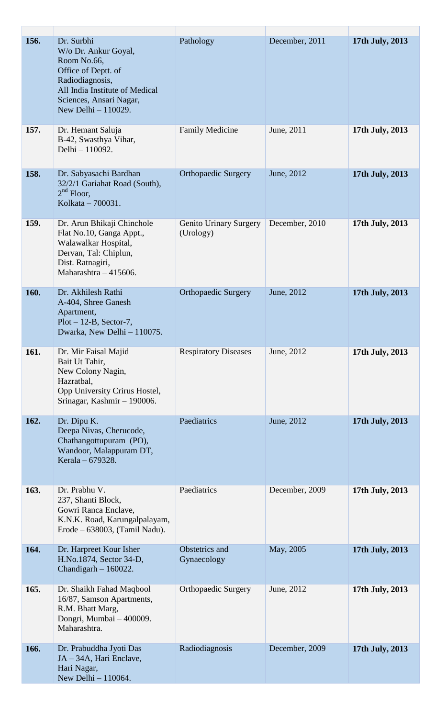| 156. | Dr. Surbhi<br>W/o Dr. Ankur Goyal,<br>Room No.66,<br>Office of Deptt. of<br>Radiodiagnosis,<br>All India Institute of Medical<br>Sciences, Ansari Nagar,<br>New Delhi - 110029. | Pathology                           | December, 2011 | 17th July, 2013 |
|------|---------------------------------------------------------------------------------------------------------------------------------------------------------------------------------|-------------------------------------|----------------|-----------------|
| 157. | Dr. Hemant Saluja<br>B-42, Swasthya Vihar,<br>Delhi - 110092.                                                                                                                   | <b>Family Medicine</b>              | June, 2011     | 17th July, 2013 |
| 158. | Dr. Sabyasachi Bardhan<br>32/2/1 Gariahat Road (South),<br>$2nd$ Floor,<br>Kolkata - 700031.                                                                                    | <b>Orthopaedic Surgery</b>          | June, 2012     | 17th July, 2013 |
| 159. | Dr. Arun Bhikaji Chinchole<br>Flat No.10, Ganga Appt.,<br>Walawalkar Hospital,<br>Dervan, Tal: Chiplun,<br>Dist. Ratnagiri,<br>Maharashtra $-415606$ .                          | Genito Urinary Surgery<br>(Urology) | December, 2010 | 17th July, 2013 |
| 160. | Dr. Akhilesh Rathi<br>A-404, Shree Ganesh<br>Apartment,<br>$Plot - 12-B$ , Sector-7,<br>Dwarka, New Delhi - 110075.                                                             | <b>Orthopaedic Surgery</b>          | June, 2012     | 17th July, 2013 |
| 161. | Dr. Mir Faisal Majid<br>Bait Ut Tahir,<br>New Colony Nagin,<br>Hazratbal,<br>Opp University Crirus Hostel,<br>Srinagar, Kashmir - 190006.                                       | <b>Respiratory Diseases</b>         | June, 2012     | 17th July, 2013 |
| 162. | Dr. Dipu K.<br>Deepa Nivas, Cherucode,<br>Chathangottupuram (PO),<br>Wandoor, Malappuram DT,<br>Kerala – 679328.                                                                | Paediatrics                         | June, 2012     | 17th July, 2013 |
| 163. | Dr. Prabhu V.<br>237, Shanti Block,<br>Gowri Ranca Enclave,<br>K.N.K. Road, Karungalpalayam,<br>$Erode - 638003$ , (Tamil Nadu).                                                | Paediatrics                         | December, 2009 | 17th July, 2013 |
| 164. | Dr. Harpreet Kour Isher<br>H.No.1874, Sector 34-D,<br>Chandigarh $-160022$ .                                                                                                    | Obstetrics and<br>Gynaecology       | May, 2005      | 17th July, 2013 |
| 165. | Dr. Shaikh Fahad Maqbool<br>16/87, Samson Apartments,<br>R.M. Bhatt Marg,<br>Dongri, Mumbai - 400009.<br>Maharashtra.                                                           | <b>Orthopaedic Surgery</b>          | June, 2012     | 17th July, 2013 |
| 166. | Dr. Prabuddha Jyoti Das<br>JA - 34A, Hari Enclave,<br>Hari Nagar,<br>New Delhi - 110064.                                                                                        | Radiodiagnosis                      | December, 2009 | 17th July, 2013 |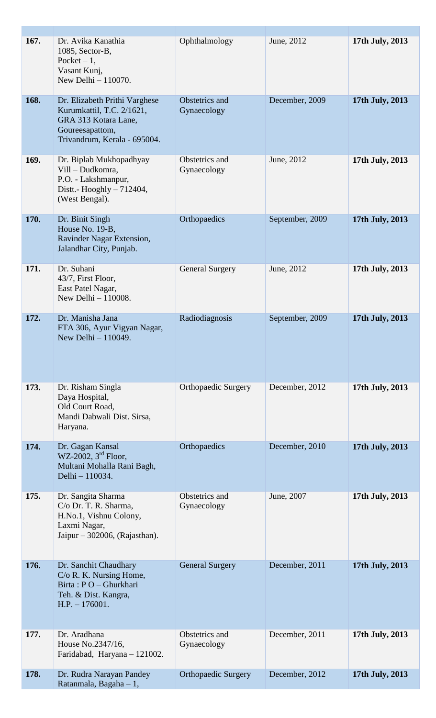| 167. | Dr. Avika Kanathia<br>1085, Sector-B,<br>Pocket $-1$ ,<br>Vasant Kunj,<br>New Delhi - 110070.                                         | Ophthalmology                 | June, 2012      | 17th July, 2013 |
|------|---------------------------------------------------------------------------------------------------------------------------------------|-------------------------------|-----------------|-----------------|
| 168. | Dr. Elizabeth Prithi Varghese<br>Kurumkattil, T.C. 2/1621,<br>GRA 313 Kotara Lane,<br>Goureesapattom,<br>Trivandrum, Kerala - 695004. | Obstetrics and<br>Gynaecology | December, 2009  | 17th July, 2013 |
| 169. | Dr. Biplab Mukhopadhyay<br>Vill - Dudkomra,<br>P.O. - Lakshmanpur,<br>Distt.- Hooghly $-712404$ ,<br>(West Bengal).                   | Obstetrics and<br>Gynaecology | June, 2012      | 17th July, 2013 |
| 170. | Dr. Binit Singh<br>House No. 19-B,<br>Ravinder Nagar Extension,<br>Jalandhar City, Punjab.                                            | Orthopaedics                  | September, 2009 | 17th July, 2013 |
| 171. | Dr. Suhani<br>43/7, First Floor,<br>East Patel Nagar,<br>New Delhi - 110008.                                                          | <b>General Surgery</b>        | June, 2012      | 17th July, 2013 |
| 172. | Dr. Manisha Jana<br>FTA 306, Ayur Vigyan Nagar,<br>New Delhi - 110049.                                                                | Radiodiagnosis                | September, 2009 | 17th July, 2013 |
| 173. | Dr. Risham Singla<br>Daya Hospital,<br>Old Court Road,<br>Mandi Dabwali Dist. Sirsa,<br>Haryana.                                      | <b>Orthopaedic Surgery</b>    | December, 2012  | 17th July, 2013 |
| 174. | Dr. Gagan Kansal<br>WZ-2002, $3^{\text{rd}}$ Floor,<br>Multani Mohalla Rani Bagh,<br>Delhi - 110034.                                  | Orthopaedics                  | December, 2010  | 17th July, 2013 |
| 175. | Dr. Sangita Sharma<br>C/o Dr. T. R. Sharma,<br>H.No.1, Vishnu Colony,<br>Laxmi Nagar,<br>Jaipur – 302006, (Rajasthan).                | Obstetrics and<br>Gynaecology | June, 2007      | 17th July, 2013 |
| 176. | Dr. Sanchit Chaudhary<br>C/o R. K. Nursing Home,<br>Birta: PO - Ghurkhari<br>Teh. & Dist. Kangra,<br>$H.P. - 176001.$                 | <b>General Surgery</b>        | December, 2011  | 17th July, 2013 |
| 177. | Dr. Aradhana<br>House No.2347/16,<br>Faridabad, Haryana - 121002.                                                                     | Obstetrics and<br>Gynaecology | December, 2011  | 17th July, 2013 |
| 178. | Dr. Rudra Narayan Pandey<br>Ratanmala, Bagaha - 1,                                                                                    | <b>Orthopaedic Surgery</b>    | December, 2012  | 17th July, 2013 |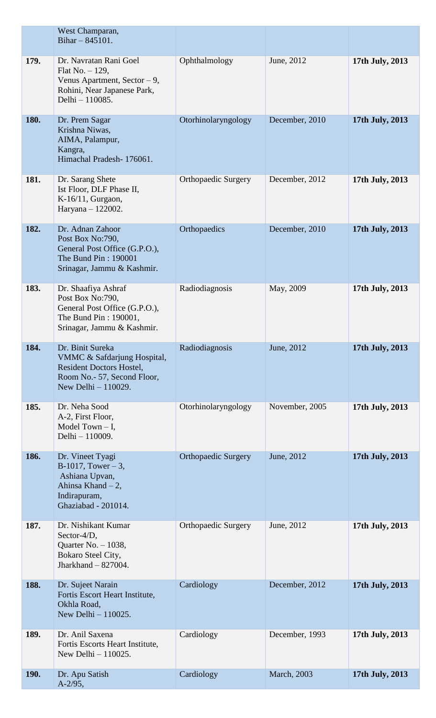|      | West Champaran,<br>Bihar $-845101$ .                                                                                                     |                            |                |                 |
|------|------------------------------------------------------------------------------------------------------------------------------------------|----------------------------|----------------|-----------------|
| 179. | Dr. Navratan Rani Goel<br>Flat No. $-129$ ,<br>Venus Apartment, Sector $-9$ ,<br>Rohini, Near Japanese Park,<br>Delhi - 110085.          | Ophthalmology              | June, 2012     | 17th July, 2013 |
| 180. | Dr. Prem Sagar<br>Krishna Niwas,<br>AIMA, Palampur,<br>Kangra,<br>Himachal Pradesh-176061.                                               | Otorhinolaryngology        | December, 2010 | 17th July, 2013 |
| 181. | Dr. Sarang Shete<br>Ist Floor, DLF Phase II,<br>K-16/11, Gurgaon,<br>Haryana - 122002.                                                   | <b>Orthopaedic Surgery</b> | December, 2012 | 17th July, 2013 |
| 182. | Dr. Adnan Zahoor<br>Post Box No:790,<br>General Post Office (G.P.O.),<br>The Bund Pin: 190001<br>Srinagar, Jammu & Kashmir.              | Orthopaedics               | December, 2010 | 17th July, 2013 |
| 183. | Dr. Shaafiya Ashraf<br>Post Box No:790,<br>General Post Office (G.P.O.),<br>The Bund Pin: 190001,<br>Srinagar, Jammu & Kashmir.          | Radiodiagnosis             | May, 2009      | 17th July, 2013 |
| 184. | Dr. Binit Sureka<br>VMMC & Safdarjung Hospital,<br><b>Resident Doctors Hostel,</b><br>Room No.- 57, Second Floor,<br>New Delhi - 110029. | Radiodiagnosis             | June, 2012     | 17th July, 2013 |
| 185. | Dr. Neha Sood<br>A-2, First Floor,<br>Model Town $- I$ ,<br>Delhi - 110009.                                                              | Otorhinolaryngology        | November, 2005 | 17th July, 2013 |
| 186. | Dr. Vineet Tyagi<br>$B-1017$ , Tower – 3,<br>Ashiana Upvan,<br>Ahinsa Khand - 2,<br>Indirapuram,<br>Ghaziabad - 201014.                  | <b>Orthopaedic Surgery</b> | June, 2012     | 17th July, 2013 |
| 187. | Dr. Nishikant Kumar<br>Sector-4/D,<br>Quarter No. $-1038$ ,<br>Bokaro Steel City,<br>Jharkhand $-827004$ .                               | <b>Orthopaedic Surgery</b> | June, 2012     | 17th July, 2013 |
| 188. | Dr. Sujeet Narain<br>Fortis Escort Heart Institute,<br>Okhla Road,<br>New Delhi - 110025.                                                | Cardiology                 | December, 2012 | 17th July, 2013 |
| 189. | Dr. Anil Saxena<br>Fortis Escorts Heart Institute,<br>New Delhi - 110025.                                                                | Cardiology                 | December, 1993 | 17th July, 2013 |
| 190. | Dr. Apu Satish<br>$A-2/95,$                                                                                                              | Cardiology                 | March, 2003    | 17th July, 2013 |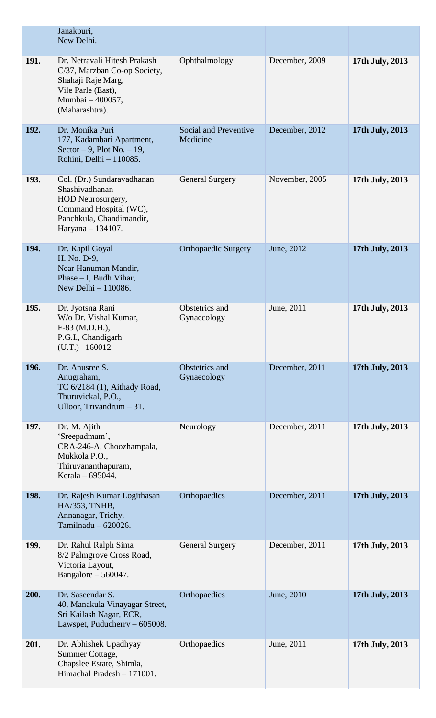|      | Janakpuri,<br>New Delhi.                                                                                                                       |                                          |                |                 |
|------|------------------------------------------------------------------------------------------------------------------------------------------------|------------------------------------------|----------------|-----------------|
| 191. | Dr. Netravali Hitesh Prakash<br>C/37, Marzban Co-op Society,<br>Shahaji Raje Marg,<br>Vile Parle (East),<br>Mumbai - 400057,<br>(Maharashtra). | Ophthalmology                            | December, 2009 | 17th July, 2013 |
| 192. | Dr. Monika Puri<br>177, Kadambari Apartment,<br>Sector $-9$ , Plot No. $-19$ ,<br>Rohini, Delhi - 110085.                                      | <b>Social and Preventive</b><br>Medicine | December, 2012 | 17th July, 2013 |
| 193. | Col. (Dr.) Sundaravadhanan<br>Shashivadhanan<br>HOD Neurosurgery,<br>Command Hospital (WC),<br>Panchkula, Chandimandir,<br>Haryana - 134107.   | <b>General Surgery</b>                   | November, 2005 | 17th July, 2013 |
| 194. | Dr. Kapil Goyal<br>H. No. D-9,<br>Near Hanuman Mandir,<br>Phase $- I$ , Budh Vihar,<br>New Delhi - 110086.                                     | <b>Orthopaedic Surgery</b>               | June, 2012     | 17th July, 2013 |
| 195. | Dr. Jyotsna Rani<br>W/o Dr. Vishal Kumar,<br>F-83 (M.D.H.),<br>P.G.I., Chandigarh<br>$(U.T.) - 160012.$                                        | Obstetrics and<br>Gynaecology            | June, 2011     | 17th July, 2013 |
| 196. | Dr. Anusree S.<br>Anugraham,<br>TC 6/2184 (1), Aithady Road,<br>Thuruvickal, P.O.,<br>Ulloor, Trivandrum - 31.                                 | Obstetrics and<br>Gynaecology            | December, 2011 | 17th July, 2013 |
| 197. | Dr. M. Ajith<br>'Sreepadmam',<br>CRA-246-A, Choozhampala,<br>Mukkola P.O.,<br>Thiruvananthapuram,<br>Kerala – 695044.                          | Neurology                                | December, 2011 | 17th July, 2013 |
| 198. | Dr. Rajesh Kumar Logithasan<br>HA/353, TNHB,<br>Annanagar, Trichy,<br>Tamilnadu $-620026$ .                                                    | Orthopaedics                             | December, 2011 | 17th July, 2013 |
| 199. | Dr. Rahul Ralph Sima<br>8/2 Palmgrove Cross Road,<br>Victoria Layout,<br>Bangalore $-560047$ .                                                 | <b>General Surgery</b>                   | December, 2011 | 17th July, 2013 |
| 200. | Dr. Saseendar S.<br>40, Manakula Vinayagar Street,<br>Sri Kailash Nagar, ECR,<br>Lawspet, Puducherry - 605008.                                 | Orthopaedics                             | June, 2010     | 17th July, 2013 |
| 201. | Dr. Abhishek Upadhyay<br>Summer Cottage,<br>Chapslee Estate, Shimla,<br>Himachal Pradesh - 171001.                                             | Orthopaedics                             | June, 2011     | 17th July, 2013 |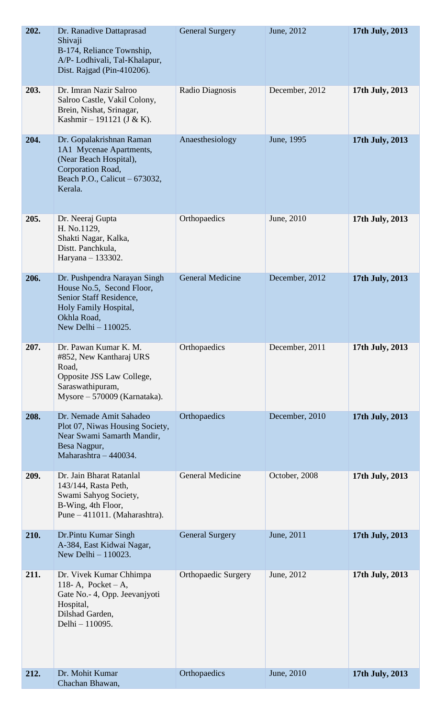| 202. | Dr. Ranadive Dattaprasad<br>Shivaji<br>B-174, Reliance Township,<br>A/P- Lodhivali, Tal-Khalapur,<br>Dist. Rajgad (Pin-410206).                     | <b>General Surgery</b>     | June, 2012     | 17th July, 2013 |
|------|-----------------------------------------------------------------------------------------------------------------------------------------------------|----------------------------|----------------|-----------------|
| 203. | Dr. Imran Nazir Salroo<br>Salroo Castle, Vakil Colony,<br>Brein, Nishat, Srinagar,<br>Kashmir - 191121 (J & K).                                     | Radio Diagnosis            | December, 2012 | 17th July, 2013 |
| 204. | Dr. Gopalakrishnan Raman<br>1A1 Mycenae Apartments,<br>(Near Beach Hospital),<br>Corporation Road,<br>Beach P.O., Calicut – 673032,<br>Kerala.      | Anaesthesiology            | June, 1995     | 17th July, 2013 |
| 205. | Dr. Neeraj Gupta<br>H. No.1129,<br>Shakti Nagar, Kalka,<br>Distt. Panchkula,<br>Haryana - 133302.                                                   | Orthopaedics               | June, 2010     | 17th July, 2013 |
| 206. | Dr. Pushpendra Narayan Singh<br>House No.5, Second Floor,<br>Senior Staff Residence,<br>Holy Family Hospital,<br>Okhla Road,<br>New Delhi - 110025. | <b>General Medicine</b>    | December, 2012 | 17th July, 2013 |
| 207. | Dr. Pawan Kumar K. M.<br>#852, New Kantharaj URS<br>Road,<br>Opposite JSS Law College,<br>Saraswathipuram,<br>Mysore - 570009 (Karnataka).          | Orthopaedics               | December, 2011 | 17th July, 2013 |
| 208. | Dr. Nemade Amit Sahadeo<br>Plot 07, Niwas Housing Society,<br>Near Swami Samarth Mandir,<br>Besa Nagpur,<br>Maharashtra - 440034.                   | Orthopaedics               | December, 2010 | 17th July, 2013 |
| 209. | Dr. Jain Bharat Ratanlal<br>143/144, Rasta Peth,<br>Swami Sahyog Society,<br>B-Wing, 4th Floor,<br>Pune - 411011. (Maharashtra).                    | General Medicine           | October, 2008  | 17th July, 2013 |
| 210. | Dr.Pintu Kumar Singh<br>A-384, East Kidwai Nagar,<br>New Delhi - 110023.                                                                            | <b>General Surgery</b>     | June, 2011     | 17th July, 2013 |
| 211. | Dr. Vivek Kumar Chhimpa<br>118-A, Pocket $-A$ ,<br>Gate No. - 4, Opp. Jeevaniyoti<br>Hospital,<br>Dilshad Garden,<br>Delhi - 110095.                | <b>Orthopaedic Surgery</b> | June, 2012     | 17th July, 2013 |
| 212. | Dr. Mohit Kumar<br>Chachan Bhawan,                                                                                                                  | Orthopaedics               | June, 2010     | 17th July, 2013 |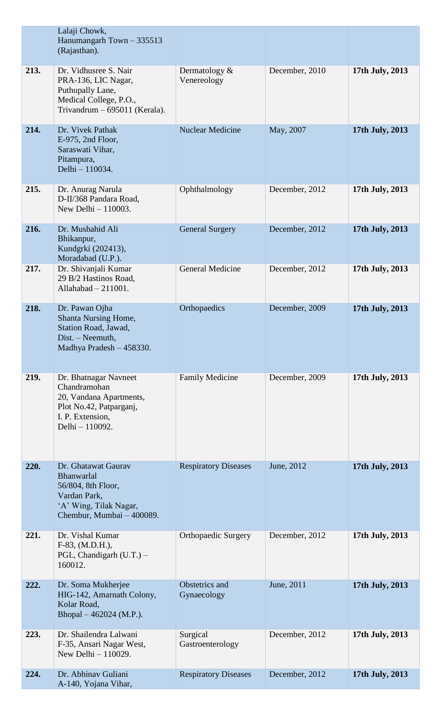|      | Lalaji Chowk,<br>Hanumangarh Town - 335513<br>(Rajasthan).                                                                            |                                |                |                 |
|------|---------------------------------------------------------------------------------------------------------------------------------------|--------------------------------|----------------|-----------------|
| 213. | Dr. Vidhusree S. Nair<br>PRA-136, LIC Nagar,<br>Puthupally Lane,<br>Medical College, P.O.,<br>Trivandrum - 695011 (Kerala).           | Dermatology $&$<br>Venereology | December, 2010 | 17th July, 2013 |
| 214. | Dr. Vivek Pathak<br>E-975, 2nd Floor,<br>Saraswati Vihar,<br>Pitampura,<br>Delhi - 110034.                                            | <b>Nuclear Medicine</b>        | May, 2007      | 17th July, 2013 |
| 215. | Dr. Anurag Narula<br>D-II/368 Pandara Road,<br>New Delhi - 110003.                                                                    | Ophthalmology                  | December, 2012 | 17th July, 2013 |
| 216. | Dr. Mushahid Ali<br>Bhikanpur,<br>Kundgrki (202413),<br>Moradabad (U.P.).                                                             | <b>General Surgery</b>         | December, 2012 | 17th July, 2013 |
| 217. | Dr. Shivanjali Kumar<br>29 B/2 Hastinos Road,<br>Allahabad $-211001$ .                                                                | <b>General Medicine</b>        | December, 2012 | 17th July, 2013 |
| 218. | Dr. Pawan Ojha<br>Shanta Nursing Home,<br>Station Road, Jawad,<br>Dist. - Neemuth,<br>Madhya Pradesh - 458330.                        | Orthopaedics                   | December, 2009 | 17th July, 2013 |
| 219. | Dr. Bhatnagar Navneet<br>Chandramohan<br>20, Vandana Apartments,<br>Plot No.42, Patparganj,<br>I. P. Extension,<br>Delhi - 110092.    | <b>Family Medicine</b>         | December, 2009 | 17th July, 2013 |
| 220. | Dr. Ghatawat Gaurav<br><b>Bhanwarlal</b><br>56/804, 8th Floor,<br>Vardan Park,<br>'A' Wing, Tilak Nagar,<br>Chembur, Mumbai - 400089. | <b>Respiratory Diseases</b>    | June, 2012     | 17th July, 2013 |
| 221. | Dr. Vishal Kumar<br>F-83, (M.D.H.),<br>PGI., Chandigarh (U.T.) -<br>160012.                                                           | <b>Orthopaedic Surgery</b>     | December, 2012 | 17th July, 2013 |
| 222. | Dr. Soma Mukherjee<br>HIG-142, Amarnath Colony,<br>Kolar Road,<br>Bhopal – 462024 (M.P.).                                             | Obstetrics and<br>Gynaecology  | June, 2011     | 17th July, 2013 |
| 223. | Dr. Shailendra Lalwani<br>F-35, Ansari Nagar West,<br>New Delhi - 110029.                                                             | Surgical<br>Gastroenterology   | December, 2012 | 17th July, 2013 |
| 224. | Dr. Abhinav Guliani<br>A-140, Yojana Vihar,                                                                                           | <b>Respiratory Diseases</b>    | December, 2012 | 17th July, 2013 |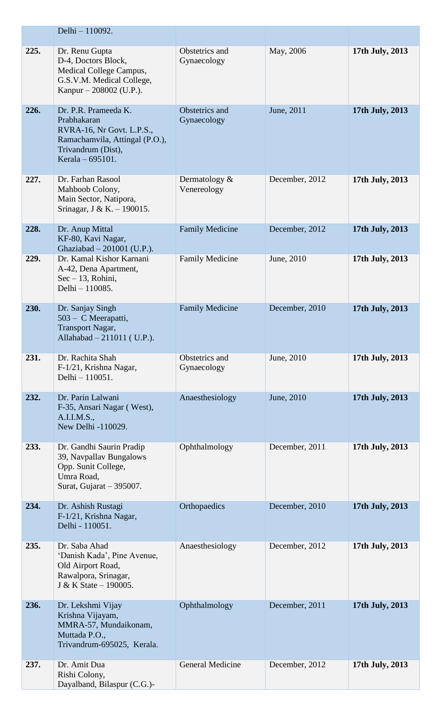|      | Delhi - 110092.                                                                                                                              |                                |                |                 |
|------|----------------------------------------------------------------------------------------------------------------------------------------------|--------------------------------|----------------|-----------------|
| 225. | Dr. Renu Gupta<br>D-4, Doctors Block,<br>Medical College Campus,<br>G.S.V.M. Medical College,<br>Kanpur – 208002 (U.P.).                     | Obstetrics and<br>Gynaecology  | May, 2006      | 17th July, 2013 |
| 226. | Dr. P.R. Prameeda K.<br>Prabhakaran<br>RVRA-16, Nr Govt. L.P.S.,<br>Ramachamvila, Attingal (P.O.),<br>Trivandrum (Dist),<br>Kerala – 695101. | Obstetrics and<br>Gynaecology  | June, 2011     | 17th July, 2013 |
| 227. | Dr. Farhan Rasool<br>Mahboob Colony,<br>Main Sector, Natipora,<br>Srinagar, J & K. - 190015.                                                 | Dermatology $&$<br>Venereology | December, 2012 | 17th July, 2013 |
| 228. | Dr. Anup Mittal<br>KF-80, Kavi Nagar,<br>Ghaziabad - 201001 (U.P.).                                                                          | <b>Family Medicine</b>         | December, 2012 | 17th July, 2013 |
| 229. | Dr. Kamal Kishor Karnani<br>A-42, Dena Apartment,<br>$Sec - 13$ , Rohini,<br>Delhi - 110085.                                                 | <b>Family Medicine</b>         | June, 2010     | 17th July, 2013 |
| 230. | Dr. Sanjay Singh<br>503 – C Meerapatti,<br><b>Transport Nagar,</b><br>Allahabad - 211011 (U.P.).                                             | <b>Family Medicine</b>         | December, 2010 | 17th July, 2013 |
| 231. | Dr. Rachita Shah<br>F-1/21, Krishna Nagar,<br>Delhi - 110051.                                                                                | Obstetrics and<br>Gynaecology  | June, 2010     | 17th July, 2013 |
| 232. | Dr. Parin Lalwani<br>F-35, Ansari Nagar (West),<br>A.I.I.M.S.,<br>New Delhi -110029.                                                         | Anaesthesiology                | June, 2010     | 17th July, 2013 |
| 233. | Dr. Gandhi Saurin Pradip<br>39, Navpallav Bungalows<br>Opp. Sunit College,<br>Umra Road,<br>Surat, Gujarat - 395007.                         | Ophthalmology                  | December, 2011 | 17th July, 2013 |
| 234. | Dr. Ashish Rustagi<br>F-1/21, Krishna Nagar,<br>Delhi - 110051.                                                                              | Orthopaedics                   | December, 2010 | 17th July, 2013 |
| 235. | Dr. Saba Ahad<br>'Danish Kada', Pine Avenue,<br>Old Airport Road,<br>Rawalpora, Srinagar,<br>J & K State – 190005.                           | Anaesthesiology                | December, 2012 | 17th July, 2013 |
| 236. | Dr. Lekshmi Vijay<br>Krishna Vijayam,<br>MMRA-57, Mundaikonam,<br>Muttada P.O.,<br>Trivandrum-695025, Kerala.                                | Ophthalmology                  | December, 2011 | 17th July, 2013 |
| 237. | Dr. Amit Dua<br>Rishi Colony,<br>Dayalband, Bilaspur (C.G.)-                                                                                 | General Medicine               | December, 2012 | 17th July, 2013 |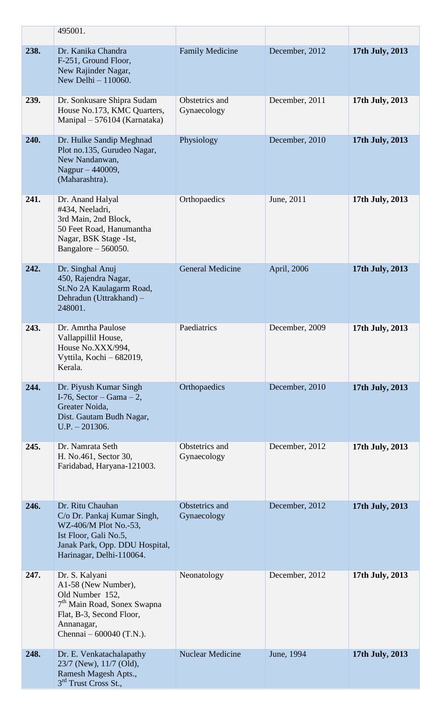|      | 495001.                                                                                                                                                                    |                               |                |                 |
|------|----------------------------------------------------------------------------------------------------------------------------------------------------------------------------|-------------------------------|----------------|-----------------|
| 238. | Dr. Kanika Chandra<br>F-251, Ground Floor,<br>New Rajinder Nagar,<br>New Delhi - 110060.                                                                                   | <b>Family Medicine</b>        | December, 2012 | 17th July, 2013 |
| 239. | Dr. Sonkusare Shipra Sudam<br>House No.173, KMC Quarters,<br>Manipal – 576104 (Karnataka)                                                                                  | Obstetrics and<br>Gynaecology | December, 2011 | 17th July, 2013 |
| 240. | Dr. Hulke Sandip Meghnad<br>Plot no.135, Gurudeo Nagar,<br>New Nandanwan,<br>Nagpur - 440009,<br>(Maharashtra).                                                            | Physiology                    | December, 2010 | 17th July, 2013 |
| 241. | Dr. Anand Halyal<br>#434, Neeladri,<br>3rd Main, 2nd Block,<br>50 Feet Road, Hanumantha<br>Nagar, BSK Stage - Ist,<br>Bangalore $-560050$ .                                | Orthopaedics                  | June, 2011     | 17th July, 2013 |
| 242. | Dr. Singhal Anuj<br>450, Rajendra Nagar,<br>St.No 2A Kaulagarm Road,<br>Dehradun (Uttrakhand) -<br>248001.                                                                 | <b>General Medicine</b>       | April, 2006    | 17th July, 2013 |
| 243. | Dr. Amrtha Paulose<br>Vallappillil House,<br>House No.XXX/994,<br>Vyttila, Kochi - 682019,<br>Kerala.                                                                      | Paediatrics                   | December, 2009 | 17th July, 2013 |
| 244. | Dr. Piyush Kumar Singh<br>I-76, Sector – Gama – 2,<br>Greater Noida,<br>Dist. Gautam Budh Nagar,<br>$U.P. - 201306.$                                                       | Orthopaedics                  | December, 2010 | 17th July, 2013 |
| 245. | Dr. Namrata Seth<br>H. No.461, Sector 30,<br>Faridabad, Haryana-121003.                                                                                                    | Obstetrics and<br>Gynaecology | December, 2012 | 17th July, 2013 |
| 246. | Dr. Ritu Chauhan<br>C/o Dr. Pankaj Kumar Singh,<br>WZ-406/M Plot No.-53,<br>Ist Floor, Gali No.5,<br>Janak Park, Opp. DDU Hospital,<br>Harinagar, Delhi-110064.            | Obstetrics and<br>Gynaecology | December, 2012 | 17th July, 2013 |
| 247. | Dr. S. Kalyani<br>A1-58 (New Number),<br>Old Number 152,<br>7 <sup>th</sup> Main Road, Sonex Swapna<br>Flat, B-3, Second Floor,<br>Annanagar,<br>Chennai $-600040$ (T.N.). | Neonatology                   | December, 2012 | 17th July, 2013 |
| 248. | Dr. E. Venkatachalapathy<br>23/7 (New), 11/7 (Old),<br>Ramesh Magesh Apts.,<br>3rd Trust Cross St.,                                                                        | <b>Nuclear Medicine</b>       | June, 1994     | 17th July, 2013 |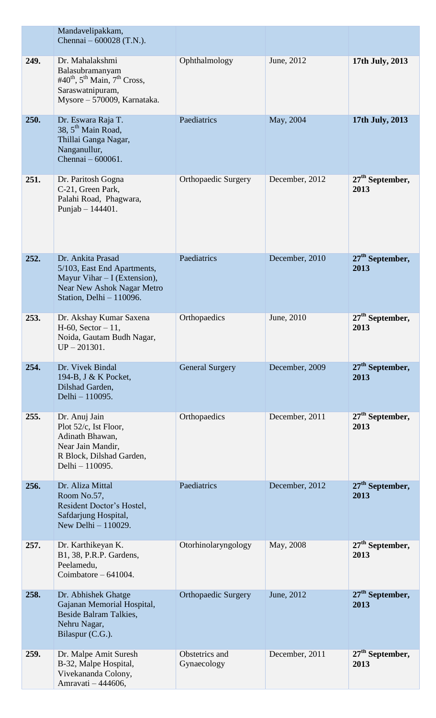|      | Mandavelipakkam,<br>Chennai – 600028 (T.N.).                                                                                                              |                               |                |                                     |
|------|-----------------------------------------------------------------------------------------------------------------------------------------------------------|-------------------------------|----------------|-------------------------------------|
| 249. | Dr. Mahalakshmi<br>Balasubramanyam<br>#40 <sup>th</sup> , 5 <sup>th</sup> Main, 7 <sup>th</sup> Cross,<br>Saraswatnipuram,<br>Mysore - 570009, Karnataka. | Ophthalmology                 | June, 2012     | 17th July, 2013                     |
| 250. | Dr. Eswara Raja T.<br>38, 5 <sup>th</sup> Main Road,<br>Thillai Ganga Nagar,<br>Nanganullur,<br>Chennai - 600061.                                         | Paediatrics                   | May, 2004      | 17th July, 2013                     |
| 251. | Dr. Paritosh Gogna<br>C-21, Green Park,<br>Palahi Road, Phagwara,<br>Punjab - 144401.                                                                     | <b>Orthopaedic Surgery</b>    | December, 2012 | $27th$ September,<br>2013           |
| 252. | Dr. Ankita Prasad<br>5/103, East End Apartments,<br>Mayur Vihar - I (Extension),<br>Near New Ashok Nagar Metro<br>Station, Delhi - 110096.                | Paediatrics                   | December, 2010 | $27th$ September,<br>2013           |
| 253. | Dr. Akshay Kumar Saxena<br>$H-60$ , Sector $-11$ ,<br>Noida, Gautam Budh Nagar,<br>$UP - 201301.$                                                         | Orthopaedics                  | June, 2010     | 27 <sup>th</sup> September,<br>2013 |
| 254. | Dr. Vivek Bindal<br>194-B, J & K Pocket,<br>Dilshad Garden,<br>Delhi - 110095.                                                                            | <b>General Surgery</b>        | December, 2009 | 27 <sup>th</sup> September,<br>2013 |
| 255. | Dr. Anuj Jain<br>Plot 52/c, Ist Floor,<br>Adinath Bhawan,<br>Near Jain Mandir,<br>R Block, Dilshad Garden,<br>Delhi - 110095.                             | Orthopaedics                  | December, 2011 | $27th$ September,<br>2013           |
| 256. | Dr. Aliza Mittal<br>Room No.57,<br>Resident Doctor's Hostel,<br>Safdarjung Hospital,<br>New Delhi - 110029.                                               | Paediatrics                   | December, 2012 | 27 <sup>th</sup> September,<br>2013 |
| 257. | Dr. Karthikeyan K.<br>B1, 38, P.R.P. Gardens,<br>Peelamedu,<br>Coimbatore $-641004$ .                                                                     | Otorhinolaryngology           | May, 2008      | $27th$ September,<br>2013           |
| 258. | Dr. Abhishek Ghatge<br>Gajanan Memorial Hospital,<br>Beside Balram Talkies,<br>Nehru Nagar,<br>Bilaspur (C.G.).                                           | <b>Orthopaedic Surgery</b>    | June, 2012     | $27th$ September,<br>2013           |
| 259. | Dr. Malpe Amit Suresh<br>B-32, Malpe Hospital,<br>Vivekananda Colony,<br>Amravati - 444606,                                                               | Obstetrics and<br>Gynaecology | December, 2011 | $27th$ September,<br>2013           |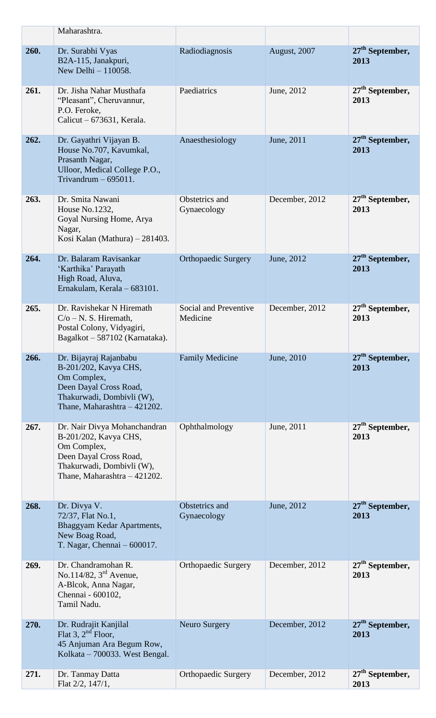|      | Maharashtra.                                                                                                                                                |                                   |                |                                     |
|------|-------------------------------------------------------------------------------------------------------------------------------------------------------------|-----------------------------------|----------------|-------------------------------------|
| 260. | Dr. Surabhi Vyas<br>B2A-115, Janakpuri,<br>New Delhi - 110058.                                                                                              | Radiodiagnosis                    | August, 2007   | 27 <sup>th</sup> September,<br>2013 |
| 261. | Dr. Jisha Nahar Musthafa<br>"Pleasant", Cheruvannur,<br>P.O. Feroke,<br>Calicut $-673631$ , Kerala.                                                         | Paediatrics                       | June, 2012     | $27th$ September,<br>2013           |
| 262. | Dr. Gayathri Vijayan B.<br>House No.707, Kavumkal,<br>Prasanth Nagar,<br>Ulloor, Medical College P.O.,<br>Trivandrum $-695011$ .                            | Anaesthesiology                   | June, 2011     | $27th$ September,<br>2013           |
| 263. | Dr. Smita Nawani<br>House No.1232,<br>Goyal Nursing Home, Arya<br>Nagar,<br>Kosi Kalan (Mathura) – 281403.                                                  | Obstetrics and<br>Gynaecology     | December, 2012 | $27th$ September,<br>2013           |
| 264. | Dr. Balaram Ravisankar<br>'Karthika' Parayath<br>High Road, Aluva,<br>Ernakulam, Kerala - 683101.                                                           | <b>Orthopaedic Surgery</b>        | June, 2012     | 27 <sup>th</sup> September,<br>2013 |
| 265. | Dr. Ravishekar N Hiremath<br>$C/O - N$ . S. Hiremath,<br>Postal Colony, Vidyagiri,<br>Bagalkot - 587102 (Karnataka).                                        | Social and Preventive<br>Medicine | December, 2012 | $27th$ September,<br>2013           |
| 266. | Dr. Bijayraj Rajanbabu<br>B-201/202, Kavya CHS,<br>Om Complex,<br>Deen Dayal Cross Road,<br>Thakurwadi, Dombivli (W),<br>Thane, Maharashtra - 421202.       | <b>Family Medicine</b>            | June, 2010     | $27th$ September,<br>2013           |
| 267. | Dr. Nair Divya Mohanchandran<br>B-201/202, Kavya CHS,<br>Om Complex,<br>Deen Dayal Cross Road,<br>Thakurwadi, Dombivli (W),<br>Thane, Maharashtra - 421202. | Ophthalmology                     | June, 2011     | $27th$ September,<br>2013           |
| 268. | Dr. Divya V.<br>72/37, Flat No.1,<br>Bhaggyam Kedar Apartments,<br>New Boag Road,<br>T. Nagar, Chennai $-600017$ .                                          | Obstetrics and<br>Gynaecology     | June, 2012     | 27 <sup>th</sup> September,<br>2013 |
| 269. | Dr. Chandramohan R.<br>No.114/82, $3rd$ Avenue,<br>A-Blcok, Anna Nagar,<br>Chennai - 600102,<br>Tamil Nadu.                                                 | <b>Orthopaedic Surgery</b>        | December, 2012 | $27th$ September,<br>2013           |
| 270. | Dr. Rudrajit Kanjilal<br>Flat 3, $2nd$ Floor,<br>45 Anjuman Ara Begum Row,<br>Kolkata - 700033. West Bengal.                                                | Neuro Surgery                     | December, 2012 | $27th$ September,<br>2013           |
| 271. | Dr. Tanmay Datta<br>Flat 2/2, 147/1,                                                                                                                        | <b>Orthopaedic Surgery</b>        | December, 2012 | $27th$ September,<br>2013           |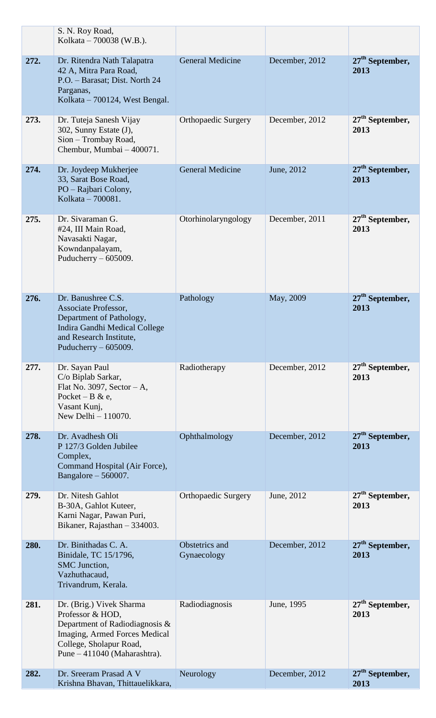|      | S. N. Roy Road,<br>Kolkata – 700038 (W.B.).                                                                                                                                 |                               |                |                                     |
|------|-----------------------------------------------------------------------------------------------------------------------------------------------------------------------------|-------------------------------|----------------|-------------------------------------|
| 272. | Dr. Ritendra Nath Talapatra<br>42 A, Mitra Para Road,<br>P.O. - Barasat; Dist. North 24<br>Parganas,<br>Kolkata - 700124, West Bengal.                                      | <b>General Medicine</b>       | December, 2012 | 27 <sup>th</sup> September,<br>2013 |
| 273. | Dr. Tuteja Sanesh Vijay<br>302, Sunny Estate (J),<br>Sion - Trombay Road,<br>Chembur, Mumbai - 400071.                                                                      | <b>Orthopaedic Surgery</b>    | December, 2012 | $27th$ September,<br>2013           |
| 274. | Dr. Joydeep Mukherjee<br>33, Sarat Bose Road,<br>PO - Rajbari Colony,<br>Kolkata – 700081.                                                                                  | <b>General Medicine</b>       | June, 2012     | 27 <sup>th</sup> September,<br>2013 |
| 275. | Dr. Sivaraman G.<br>#24, III Main Road,<br>Navasakti Nagar,<br>Kowndanpalayam,<br>Puducherry $-605009$ .                                                                    | Otorhinolaryngology           | December, 2011 | $27th$ September,<br>2013           |
| 276. | Dr. Banushree C.S.<br>Associate Professor,<br>Department of Pathology,<br>Indira Gandhi Medical College<br>and Research Institute,<br>Puducherry $-605009$ .                | Pathology                     | May, 2009      | 27 <sup>th</sup> September,<br>2013 |
| 277. | Dr. Sayan Paul<br>C/o Biplab Sarkar,<br>Flat No. 3097, Sector $-A$ ,<br>Pocket – B & e,<br>Vasant Kunj,<br>New Delhi - 110070.                                              | Radiotherapy                  | December, 2012 | $27th$ September,<br>2013           |
| 278. | Dr. Avadhesh Oli<br>P 127/3 Golden Jubilee<br>Complex,<br>Command Hospital (Air Force),<br>Bangalore - 560007.                                                              | Ophthalmology                 | December, 2012 | $27th$ September,<br>2013           |
| 279. | Dr. Nitesh Gahlot<br>B-30A, Gahlot Kuteer,<br>Karni Nagar, Pawan Puri,<br>Bikaner, Rajasthan - 334003.                                                                      | <b>Orthopaedic Surgery</b>    | June, 2012     | $27th$ September,<br>2013           |
| 280. | Dr. Binithadas C. A.<br>Binidale, TC 15/1796,<br>SMC Junction,<br>Vazhuthacaud,<br>Trivandrum, Kerala.                                                                      | Obstetrics and<br>Gynaecology | December, 2012 | $27th$ September,<br>2013           |
| 281. | Dr. (Brig.) Vivek Sharma<br>Professor & HOD,<br>Department of Radiodiagnosis &<br>Imaging, Armed Forces Medical<br>College, Sholapur Road,<br>Pune $-411040$ (Maharashtra). | Radiodiagnosis                | June, 1995     | $27th$ September,<br>2013           |
| 282. | Dr. Sreeram Prasad A V<br>Krishna Bhavan, Thittauelikkara,                                                                                                                  | Neurology                     | December, 2012 | 27 <sup>th</sup> September,<br>2013 |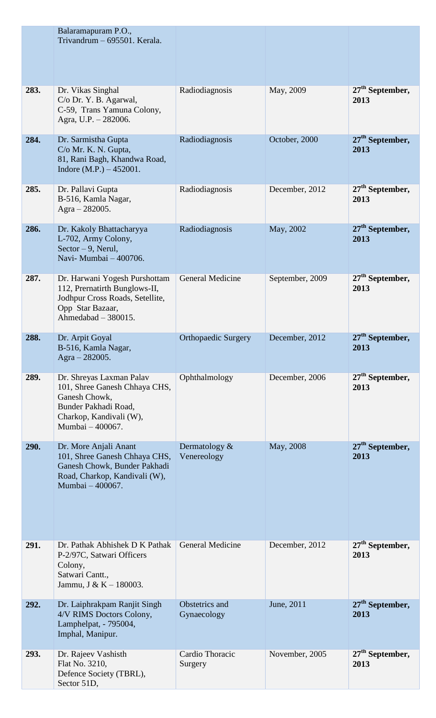|      | Balaramapuram P.O.,<br>Trivandrum - 695501. Kerala.                                                                                               |                                |                 |                                     |
|------|---------------------------------------------------------------------------------------------------------------------------------------------------|--------------------------------|-----------------|-------------------------------------|
| 283. | Dr. Vikas Singhal<br>C/o Dr. Y. B. Agarwal,<br>C-59, Trans Yamuna Colony,<br>Agra, U.P. - 282006.                                                 | Radiodiagnosis                 | May, 2009       | 27 <sup>th</sup> September,<br>2013 |
| 284. | Dr. Sarmistha Gupta<br>C/o Mr. K. N. Gupta,<br>81, Rani Bagh, Khandwa Road,<br>Indore $(M.P.) - 452001$ .                                         | Radiodiagnosis                 | October, 2000   | 27 <sup>th</sup> September,<br>2013 |
| 285. | Dr. Pallavi Gupta<br>B-516, Kamla Nagar,<br>Agra - 282005.                                                                                        | Radiodiagnosis                 | December, 2012  | $27th$ September,<br>2013           |
| 286. | Dr. Kakoly Bhattacharyya<br>L-702, Army Colony,<br>$Sector - 9$ , Nerul,<br>Navi- Mumbai - 400706.                                                | Radiodiagnosis                 | May, 2002       | 27 <sup>th</sup> September,<br>2013 |
| 287. | Dr. Harwani Yogesh Purshottam<br>112, Prernatirth Bunglows-II,<br>Jodhpur Cross Roads, Setellite,<br>Opp Star Bazaar,<br>Ahmedabad - 380015.      | <b>General Medicine</b>        | September, 2009 | $27th$ September,<br>2013           |
| 288. | Dr. Arpit Goyal<br>B-516, Kamla Nagar,<br>Agra $-282005$ .                                                                                        | <b>Orthopaedic Surgery</b>     | December, 2012  | 27 <sup>th</sup> September,<br>2013 |
| 289. | Dr. Shreyas Laxman Palav<br>101, Shree Ganesh Chhaya CHS,<br>Ganesh Chowk,<br>Bunder Pakhadi Road,<br>Charkop, Kandivali (W),<br>Mumbai - 400067. | Ophthalmology                  | December, 2006  | $27th$ September,<br>2013           |
| 290. | Dr. More Anjali Anant<br>101, Shree Ganesh Chhaya CHS,<br>Ganesh Chowk, Bunder Pakhadi<br>Road, Charkop, Kandivali (W),<br>Mumbai - 400067.       | Dermatology $&$<br>Venereology | May, 2008       | 27 <sup>th</sup> September,<br>2013 |
| 291. | Dr. Pathak Abhishek D K Pathak<br>P-2/97C, Satwari Officers<br>Colony,<br>Satwari Cantt.,<br>Jammu, J & K $-$ 180003.                             | <b>General Medicine</b>        | December, 2012  | $27th$ September,<br>2013           |
| 292. | Dr. Laiphrakpam Ranjit Singh<br>4/V RIMS Doctors Colony,<br>Lamphelpat, - 795004,<br>Imphal, Manipur.                                             | Obstetrics and<br>Gynaecology  | June, 2011      | $27th$ September,<br>2013           |
| 293. | Dr. Rajeev Vashisth<br>Flat No. 3210,<br>Defence Society (TBRL),<br>Sector 51D,                                                                   | Cardio Thoracic<br>Surgery     | November, 2005  | $27th$ September,<br>2013           |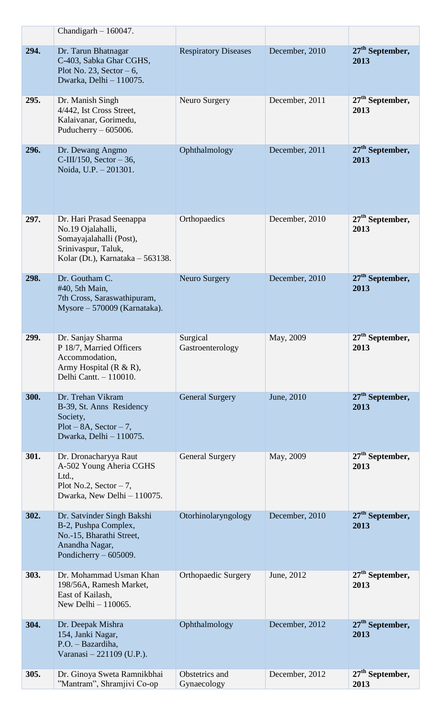|      | Chandigarh $-160047$ .                                                                                                              |                               |                |                                     |
|------|-------------------------------------------------------------------------------------------------------------------------------------|-------------------------------|----------------|-------------------------------------|
| 294. | Dr. Tarun Bhatnagar<br>C-403, Sabka Ghar CGHS,<br>Plot No. 23, Sector $-6$ ,<br>Dwarka, Delhi - 110075.                             | <b>Respiratory Diseases</b>   | December, 2010 | $27th$ September,<br>2013           |
| 295. | Dr. Manish Singh<br>4/442, Ist Cross Street,<br>Kalaivanar, Gorimedu,<br>Puducherry $-605006$ .                                     | Neuro Surgery                 | December, 2011 | $27th$ September,<br>2013           |
| 296. | Dr. Dewang Angmo<br>$C-III/150$ , Sector - 36,<br>Noida, U.P. - 201301.                                                             | Ophthalmology                 | December, 2011 | $27th$ September,<br>2013           |
| 297. | Dr. Hari Prasad Seenappa<br>No.19 Ojalahalli,<br>Somayajalahalli (Post),<br>Srinivaspur, Taluk,<br>Kolar (Dt.), Karnataka – 563138. | Orthopaedics                  | December, 2010 | $27th$ September,<br>2013           |
| 298. | Dr. Goutham C.<br>#40, 5th Main,<br>7th Cross, Saraswathipuram,<br>Mysore - 570009 (Karnataka).                                     | Neuro Surgery                 | December, 2010 | $27th$ September,<br>2013           |
| 299. | Dr. Sanjay Sharma<br>P 18/7, Married Officers<br>Accommodation,<br>Army Hospital $(R & R)$ ,<br>Delhi Cantt. - 110010.              | Surgical<br>Gastroenterology  | May, 2009      | 27 <sup>th</sup> September,<br>2013 |
| 300. | Dr. Trehan Vikram<br>B-39, St. Anns Residency<br>Society,<br>$Plot - 8A$ , $Section - 7$ ,<br>Dwarka, Delhi - 110075.               | <b>General Surgery</b>        | June, 2010     | 27 <sup>th</sup> September,<br>2013 |
| 301. | Dr. Dronacharyya Raut<br>A-502 Young Aheria CGHS<br>Ltd.,<br>Plot No.2, Sector $-7$ ,<br>Dwarka, New Delhi - 110075.                | <b>General Surgery</b>        | May, 2009      | 27 <sup>th</sup> September,<br>2013 |
| 302. | Dr. Satvinder Singh Bakshi<br>B-2, Pushpa Complex,<br>No.-15, Bharathi Street,<br>Anandha Nagar,<br>Pondicherry $-605009$ .         | Otorhinolaryngology           | December, 2010 | $27th$ September,<br>2013           |
| 303. | Dr. Mohammad Usman Khan<br>198/56A, Ramesh Market,<br>East of Kailash,<br>New Delhi - 110065.                                       | <b>Orthopaedic Surgery</b>    | June, 2012     | $27th$ September,<br>2013           |
| 304. | Dr. Deepak Mishra<br>154, Janki Nagar,<br>P.O. - Bazardiha,<br>Varanasi - 221109 (U.P.).                                            | Ophthalmology                 | December, 2012 | $27th$ September,<br>2013           |
| 305. | Dr. Ginoya Sweta Ramnikbhai<br>"Mantram", Shramjivi Co-op                                                                           | Obstetrics and<br>Gynaecology | December, 2012 | $27th$ September,<br>2013           |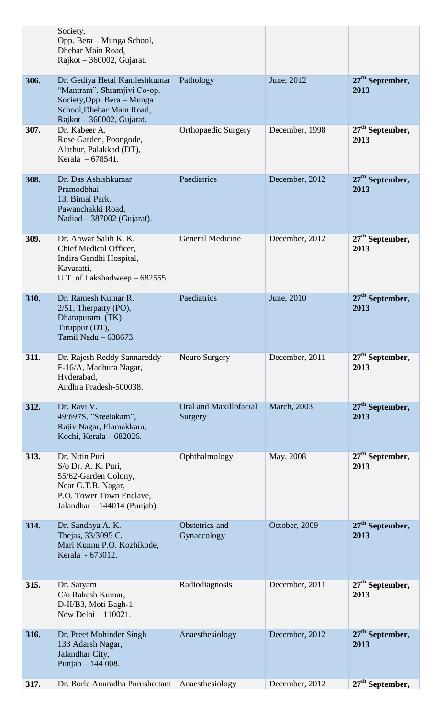|      | Society,<br>Opp. Bera – Munga School,<br>Dhebar Main Road,<br>Rajkot $-360002$ , Gujarat.                                                            |                                   |                     |                                     |
|------|------------------------------------------------------------------------------------------------------------------------------------------------------|-----------------------------------|---------------------|-------------------------------------|
| 306. | Dr. Gediya Hetal Kamleshkumar<br>"Mantram", Shramjivi Co-op.<br>Society, Opp. Bera - Munga<br>School, Dhebar Main Road,<br>Rajkot – 360002, Gujarat. | Pathology                         | June, 2012          | $27th$ September,<br>2013           |
| 307. | Dr. Kabeer A.<br>Rose Garden, Poongode,<br>Alathur, Palakkad (DT),<br>Kerala $-678541$ .                                                             | <b>Orthopaedic Surgery</b>        | December, 1998      | $27th$ September,<br>2013           |
| 308. | Dr. Das Ashishkumar<br>Pramodbhai<br>13, Bimal Park,<br>Pawanchakki Road,<br>Nadiad - 387002 (Gujarat).                                              | Paediatrics                       | December, 2012      | 27 <sup>th</sup> September,<br>2013 |
| 309. | Dr. Anwar Salih K. K.<br>Chief Medical Officer,<br>Indira Gandhi Hospital,<br>Kavaratti,<br>U.T. of Lakshadweep – 682555.                            | <b>General Medicine</b>           | December, 2012      | $27th$ September,<br>2013           |
| 310. | Dr. Ramesh Kumar R.<br>$2/51$ , Therpatty (PO),<br>Dharapuram (TK)<br>Tiruppur (DT),<br>Tamil Nadu - 638673.                                         | Paediatrics                       | June, 2010          | $27th$ September,<br>2013           |
| 311. | Dr. Rajesh Reddy Sannareddy<br>F-16/A, Madhura Nagar,<br>Hyderabad,<br>Andhra Pradesh-500038.                                                        | Neuro Surgery                     | December, 2011      | $27th$ September,<br>2013           |
| 312. | Dr. Ravi V.<br>49/697S, "Sreelakam",<br>Rajiv Nagar, Elamakkara,<br>Kochi, Kerala - 682026.                                                          | Oral and Maxillofacial<br>Surgery | <b>March</b> , 2003 | 27 <sup>th</sup> September,<br>2013 |
| 313. | Dr. Nitin Puri<br>S/o Dr. A. K. Puri,<br>55/62-Garden Colony,<br>Near G.T.B. Nagar,<br>P.O. Tower Town Enclave,<br>Jalandhar $- 144014$ (Punjab).    | Ophthalmology                     | May, 2008           | $27th$ September,<br>2013           |
| 314. | Dr. Sandhya A. K.<br>Thejas, 33/3095 C,<br>Mari Kunnu P.O. Kozhikode,<br>Kerala - 673012.                                                            | Obstetrics and<br>Gynaecology     | October, 2009       | 27 <sup>th</sup> September,<br>2013 |
| 315. | Dr. Satyam<br>C/o Rakesh Kumar,<br>D-II/B3, Moti Bagh-1,<br>New Delhi $-110021$ .                                                                    | Radiodiagnosis                    | December, 2011      | $27th$ September,<br>2013           |
| 316. | Dr. Preet Mohinder Singh<br>133 Adarsh Nagar,<br>Jalandhar City,<br>Punjab - 144 008.                                                                | Anaesthesiology                   | December, 2012      | $27th$ September,<br>2013           |
| 317. | Dr. Borle Anuradha Purushottam                                                                                                                       | Anaesthesiology                   | December, 2012      | $27th$ September,                   |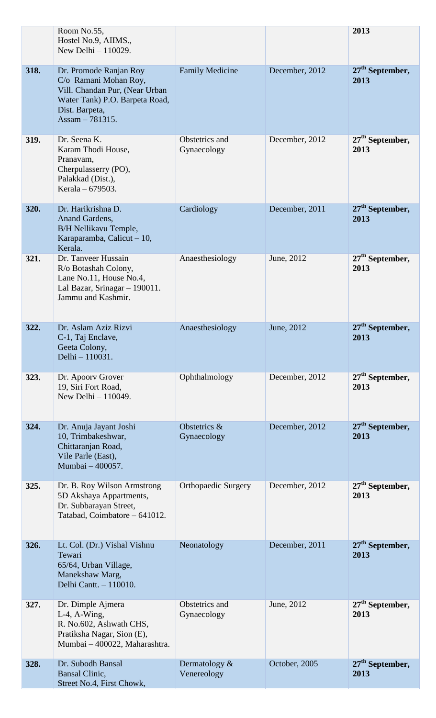|      | Room No.55,                                                                                                                                                |                               |                | 2013                                |
|------|------------------------------------------------------------------------------------------------------------------------------------------------------------|-------------------------------|----------------|-------------------------------------|
|      | Hostel No.9, AIIMS.,<br>New Delhi - 110029.                                                                                                                |                               |                |                                     |
| 318. | Dr. Promode Ranjan Roy<br>C/o Ramani Mohan Roy,<br>Vill. Chandan Pur, (Near Urban<br>Water Tank) P.O. Barpeta Road,<br>Dist. Barpeta,<br>Assam $-781315$ . | <b>Family Medicine</b>        | December, 2012 | 27 <sup>th</sup> September,<br>2013 |
| 319. | Dr. Seena K.<br>Karam Thodi House,<br>Pranavam,<br>Cherpulasserry (PO),<br>Palakkad (Dist.),<br>Kerala $-679503$ .                                         | Obstetrics and<br>Gynaecology | December, 2012 | $27th$ September,<br>2013           |
| 320. | Dr. Harikrishna D.<br>Anand Gardens,<br><b>B/H Nellikavu Temple,</b><br>Karaparamba, Calicut - 10,<br>Kerala.                                              | Cardiology                    | December, 2011 | $27th$ September,<br>2013           |
| 321. | Dr. Tanveer Hussain<br>R/o Botashah Colony,<br>Lane No.11, House No.4,<br>Lal Bazar, Srinagar $-190011$ .<br>Jammu and Kashmir.                            | Anaesthesiology               | June, 2012     | $27th$ September,<br>2013           |
| 322. | Dr. Aslam Aziz Rizvi<br>C-1, Taj Enclave,<br>Geeta Colony,<br>Delhi - 110031.                                                                              | Anaesthesiology               | June, 2012     | 27 <sup>th</sup> September,<br>2013 |
| 323. | Dr. Apoorv Grover<br>19, Siri Fort Road,<br>New Delhi - 110049.                                                                                            | Ophthalmology                 | December, 2012 | $27th$ September,<br>2013           |
| 324. | Dr. Anuja Jayant Joshi<br>10, Trimbakeshwar,<br>Chittaranjan Road,<br>Vile Parle (East),<br>Mumbai - 400057.                                               | Obstetrics &<br>Gynaecology   | December, 2012 | $27th$ September,<br>2013           |
| 325. | Dr. B. Roy Wilson Armstrong<br>5D Akshaya Appartments,<br>Dr. Subbarayan Street,<br>Tatabad, Coimbatore - 641012.                                          | <b>Orthopaedic Surgery</b>    | December, 2012 | $27th$ September,<br>2013           |
| 326. | Lt. Col. (Dr.) Vishal Vishnu<br>Tewari<br>65/64, Urban Village,<br>Manekshaw Marg,<br>Delhi Cantt. - 110010.                                               | Neonatology                   | December, 2011 | 27 <sup>th</sup> September,<br>2013 |
| 327. | Dr. Dimple Ajmera<br>$L-4$ , A-Wing,<br>R. No.602, Ashwath CHS,<br>Pratiksha Nagar, Sion (E),<br>Mumbai - 400022, Maharashtra.                             | Obstetrics and<br>Gynaecology | June, 2012     | $27th$ September,<br>2013           |
| 328. | Dr. Subodh Bansal<br>Bansal Clinic,<br>Street No.4, First Chowk,                                                                                           | Dermatology &<br>Venereology  | October, 2005  | 27 <sup>th</sup> September,<br>2013 |